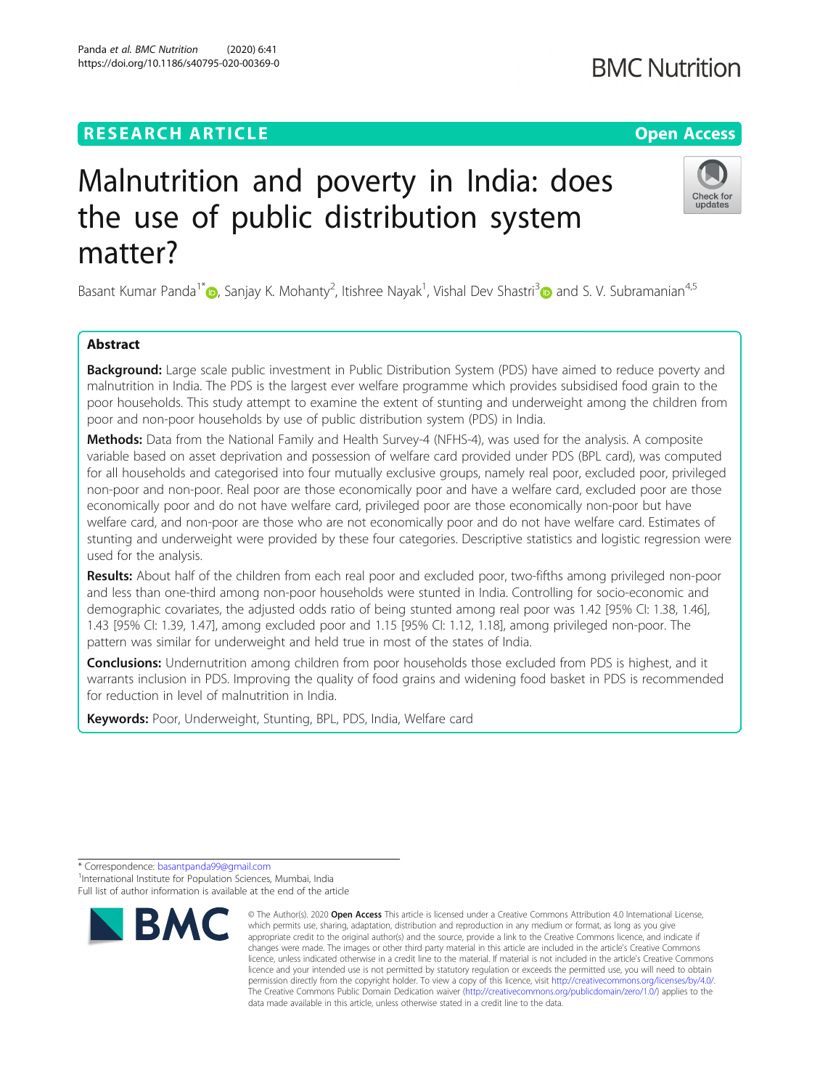## **RESEARCH ARTICLE Example 2014 12:30 The Contract of Contract ACCESS**

# Malnutrition and poverty in India: does the use of public distribution system matter?

Basant Kumar Panda<sup>1[\\*](https://orcid.org/0000-0002-9364-2381)</sup> (@, Sanjay K. Mohanty<sup>2</sup>, Itishree Nayak<sup>1</sup>, Vishal Dev Shastri<sup>[3](https://orcid.org/0000-0002-5586-491X)</sup> (@) and S. V. Subramanian<sup>4,5</sup>

### Abstract

**Background:** Large scale public investment in Public Distribution System (PDS) have aimed to reduce poverty and malnutrition in India. The PDS is the largest ever welfare programme which provides subsidised food grain to the poor households. This study attempt to examine the extent of stunting and underweight among the children from poor and non-poor households by use of public distribution system (PDS) in India.

Methods: Data from the National Family and Health Survey-4 (NFHS-4), was used for the analysis. A composite variable based on asset deprivation and possession of welfare card provided under PDS (BPL card), was computed for all households and categorised into four mutually exclusive groups, namely real poor, excluded poor, privileged non-poor and non-poor. Real poor are those economically poor and have a welfare card, excluded poor are those economically poor and do not have welfare card, privileged poor are those economically non-poor but have welfare card, and non-poor are those who are not economically poor and do not have welfare card. Estimates of stunting and underweight were provided by these four categories. Descriptive statistics and logistic regression were used for the analysis.

Results: About half of the children from each real poor and excluded poor, two-fifths among privileged non-poor and less than one-third among non-poor households were stunted in India. Controlling for socio-economic and demographic covariates, the adjusted odds ratio of being stunted among real poor was 1.42 [95% CI: 1.38, 1.46], 1.43 [95% CI: 1.39, 1.47], among excluded poor and 1.15 [95% CI: 1.12, 1.18], among privileged non-poor. The pattern was similar for underweight and held true in most of the states of India.

**Conclusions:** Undernutrition among children from poor households those excluded from PDS is highest, and it warrants inclusion in PDS. Improving the quality of food grains and widening food basket in PDS is recommended for reduction in level of malnutrition in India.

Keywords: Poor, Underweight, Stunting, BPL, PDS, India, Welfare card







<sup>\*</sup> Correspondence: [basantpanda99@gmail.com](mailto:basantpanda99@gmail.com) <sup>1</sup> International Institute for Population Sciences, Mumbai, India Full list of author information is available at the end of the article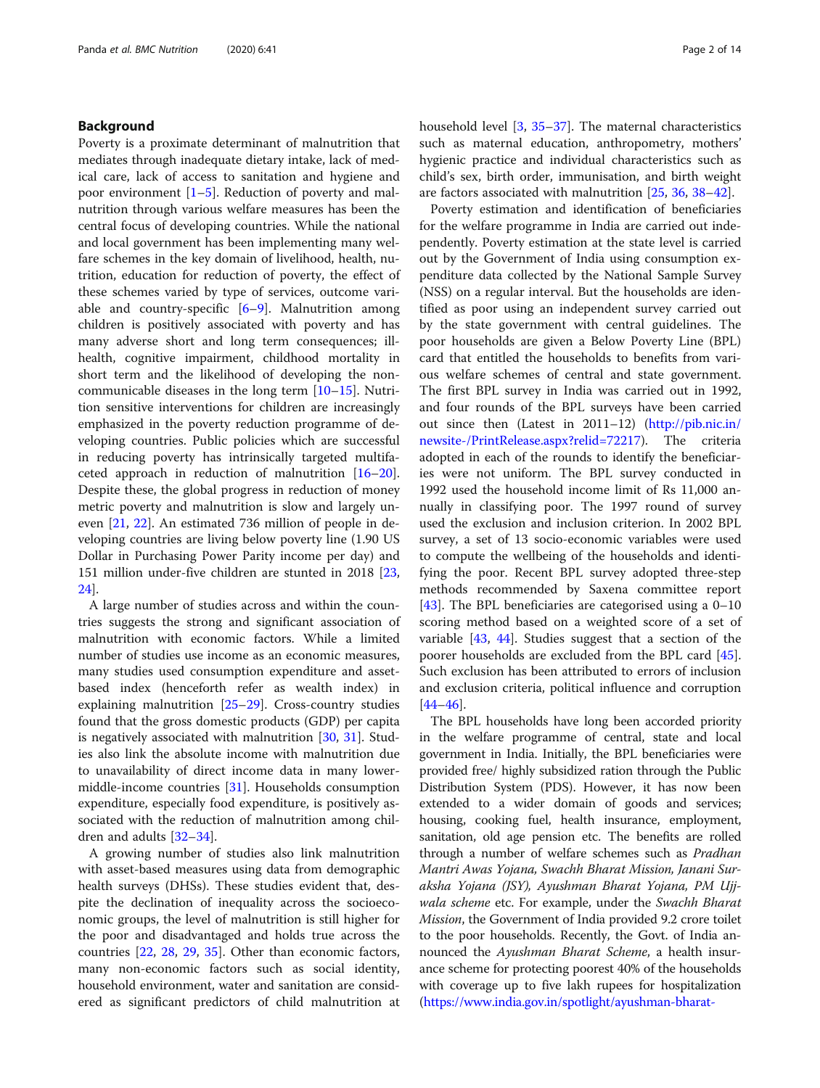#### Background

Poverty is a proximate determinant of malnutrition that mediates through inadequate dietary intake, lack of medical care, lack of access to sanitation and hygiene and poor environment [\[1](#page-12-0)–[5\]](#page-12-0). Reduction of poverty and malnutrition through various welfare measures has been the central focus of developing countries. While the national and local government has been implementing many welfare schemes in the key domain of livelihood, health, nutrition, education for reduction of poverty, the effect of these schemes varied by type of services, outcome variable and country-specific  $[6-9]$  $[6-9]$  $[6-9]$ . Malnutrition among children is positively associated with poverty and has many adverse short and long term consequences; illhealth, cognitive impairment, childhood mortality in short term and the likelihood of developing the noncommunicable diseases in the long term [[10](#page-12-0)–[15](#page-12-0)]. Nutrition sensitive interventions for children are increasingly emphasized in the poverty reduction programme of developing countries. Public policies which are successful in reducing poverty has intrinsically targeted multifaceted approach in reduction of malnutrition  $[16–20]$  $[16–20]$  $[16–20]$  $[16–20]$  $[16–20]$ . Despite these, the global progress in reduction of money metric poverty and malnutrition is slow and largely uneven [[21,](#page-12-0) [22](#page-12-0)]. An estimated 736 million of people in developing countries are living below poverty line (1.90 US Dollar in Purchasing Power Parity income per day) and 151 million under-five children are stunted in 2018 [[23](#page-13-0), [24\]](#page-13-0).

A large number of studies across and within the countries suggests the strong and significant association of malnutrition with economic factors. While a limited number of studies use income as an economic measures, many studies used consumption expenditure and assetbased index (henceforth refer as wealth index) in explaining malnutrition [\[25](#page-13-0)–[29\]](#page-13-0). Cross-country studies found that the gross domestic products (GDP) per capita is negatively associated with malnutrition [\[30](#page-13-0), [31\]](#page-13-0). Studies also link the absolute income with malnutrition due to unavailability of direct income data in many lowermiddle-income countries [[31](#page-13-0)]. Households consumption expenditure, especially food expenditure, is positively associated with the reduction of malnutrition among children and adults [[32](#page-13-0)–[34](#page-13-0)].

A growing number of studies also link malnutrition with asset-based measures using data from demographic health surveys (DHSs). These studies evident that, despite the declination of inequality across the socioeconomic groups, the level of malnutrition is still higher for the poor and disadvantaged and holds true across the countries [\[22](#page-12-0), [28,](#page-13-0) [29,](#page-13-0) [35](#page-13-0)]. Other than economic factors, many non-economic factors such as social identity, household environment, water and sanitation are considered as significant predictors of child malnutrition at household level [[3,](#page-12-0) [35](#page-13-0)–[37\]](#page-13-0). The maternal characteristics such as maternal education, anthropometry, mothers' hygienic practice and individual characteristics such as child's sex, birth order, immunisation, and birth weight are factors associated with malnutrition [\[25,](#page-13-0) [36,](#page-13-0) [38](#page-13-0)–[42](#page-13-0)].

Poverty estimation and identification of beneficiaries for the welfare programme in India are carried out independently. Poverty estimation at the state level is carried out by the Government of India using consumption expenditure data collected by the National Sample Survey (NSS) on a regular interval. But the households are identified as poor using an independent survey carried out by the state government with central guidelines. The poor households are given a Below Poverty Line (BPL) card that entitled the households to benefits from various welfare schemes of central and state government. The first BPL survey in India was carried out in 1992, and four rounds of the BPL surveys have been carried out since then (Latest in 2011–12) [\(http://pib.nic.in/](http://pib.nic.in/newsite-/PrintRelease.aspx?relid=72217) [newsite-/PrintRelease.aspx?relid=72217\)](http://pib.nic.in/newsite-/PrintRelease.aspx?relid=72217). The criteria adopted in each of the rounds to identify the beneficiaries were not uniform. The BPL survey conducted in 1992 used the household income limit of Rs 11,000 annually in classifying poor. The 1997 round of survey used the exclusion and inclusion criterion. In 2002 BPL survey, a set of 13 socio-economic variables were used to compute the wellbeing of the households and identifying the poor. Recent BPL survey adopted three-step methods recommended by Saxena committee report [[43\]](#page-13-0). The BPL beneficiaries are categorised using a 0–10 scoring method based on a weighted score of a set of variable [\[43](#page-13-0), [44\]](#page-13-0). Studies suggest that a section of the poorer households are excluded from the BPL card [\[45](#page-13-0)]. Such exclusion has been attributed to errors of inclusion and exclusion criteria, political influence and corruption [[44](#page-13-0)–[46](#page-13-0)].

The BPL households have long been accorded priority in the welfare programme of central, state and local government in India. Initially, the BPL beneficiaries were provided free/ highly subsidized ration through the Public Distribution System (PDS). However, it has now been extended to a wider domain of goods and services; housing, cooking fuel, health insurance, employment, sanitation, old age pension etc. The benefits are rolled through a number of welfare schemes such as Pradhan Mantri Awas Yojana, Swachh Bharat Mission, Janani Suraksha Yojana (JSY), Ayushman Bharat Yojana, PM Ujjwala scheme etc. For example, under the Swachh Bharat Mission, the Government of India provided 9.2 crore toilet to the poor households. Recently, the Govt. of India announced the Ayushman Bharat Scheme, a health insurance scheme for protecting poorest 40% of the households with coverage up to five lakh rupees for hospitalization ([https://www.india.gov.in/spotlight/ayushman-bharat-](https://www.india.gov.in/spotlight/ayushman-bharat-national-health-protection-mission)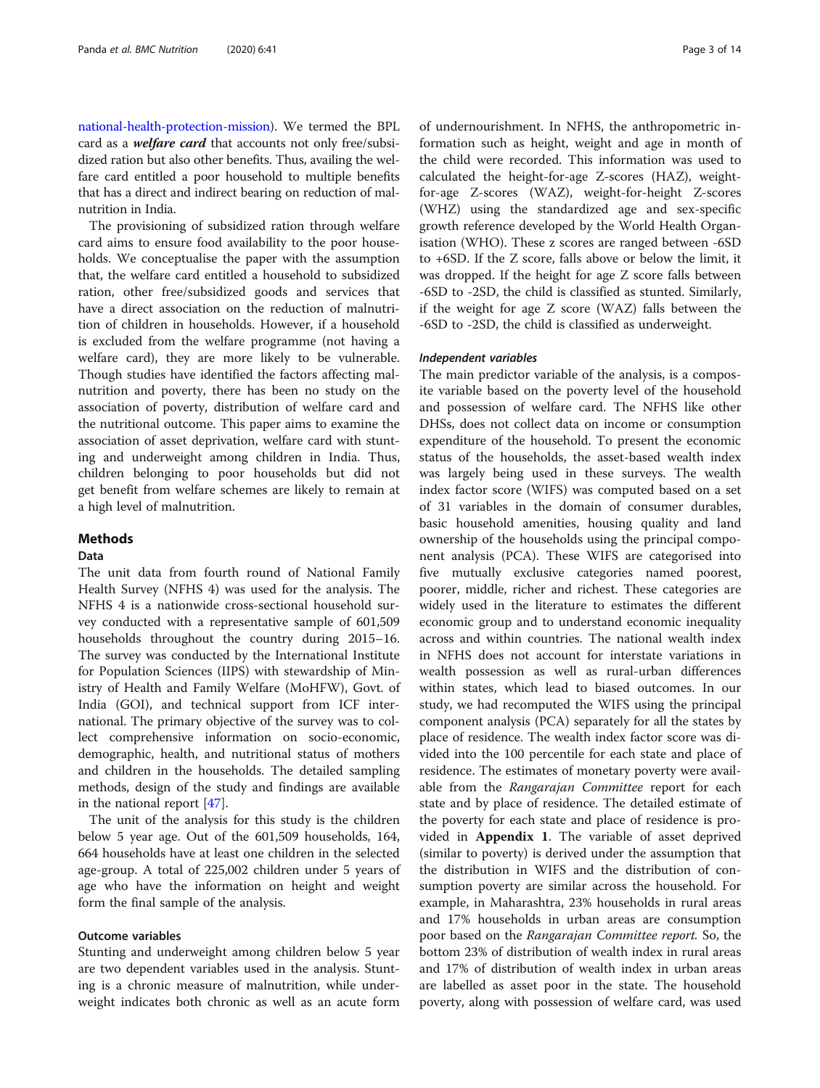[national-health-protection-mission](https://www.india.gov.in/spotlight/ayushman-bharat-national-health-protection-mission)). We termed the BPL card as a *welfare card* that accounts not only free/subsidized ration but also other benefits. Thus, availing the welfare card entitled a poor household to multiple benefits that has a direct and indirect bearing on reduction of malnutrition in India.

The provisioning of subsidized ration through welfare card aims to ensure food availability to the poor households. We conceptualise the paper with the assumption that, the welfare card entitled a household to subsidized ration, other free/subsidized goods and services that have a direct association on the reduction of malnutrition of children in households. However, if a household is excluded from the welfare programme (not having a welfare card), they are more likely to be vulnerable. Though studies have identified the factors affecting malnutrition and poverty, there has been no study on the association of poverty, distribution of welfare card and the nutritional outcome. This paper aims to examine the association of asset deprivation, welfare card with stunting and underweight among children in India. Thus, children belonging to poor households but did not get benefit from welfare schemes are likely to remain at a high level of malnutrition.

#### **Methods**

#### Data

The unit data from fourth round of National Family Health Survey (NFHS 4) was used for the analysis. The NFHS 4 is a nationwide cross-sectional household survey conducted with a representative sample of 601,509 households throughout the country during 2015–16. The survey was conducted by the International Institute for Population Sciences (IIPS) with stewardship of Ministry of Health and Family Welfare (MoHFW), Govt. of India (GOI), and technical support from ICF international. The primary objective of the survey was to collect comprehensive information on socio-economic, demographic, health, and nutritional status of mothers and children in the households. The detailed sampling methods, design of the study and findings are available in the national report [[47\]](#page-13-0).

The unit of the analysis for this study is the children below 5 year age. Out of the 601,509 households, 164, 664 households have at least one children in the selected age-group. A total of 225,002 children under 5 years of age who have the information on height and weight form the final sample of the analysis.

#### Outcome variables

Stunting and underweight among children below 5 year are two dependent variables used in the analysis. Stunting is a chronic measure of malnutrition, while underweight indicates both chronic as well as an acute form

of undernourishment. In NFHS, the anthropometric information such as height, weight and age in month of the child were recorded. This information was used to calculated the height-for-age Z-scores (HAZ), weightfor-age Z-scores (WAZ), weight-for-height Z-scores (WHZ) using the standardized age and sex-specific growth reference developed by the World Health Organisation (WHO). These z scores are ranged between -6SD to +6SD. If the Z score, falls above or below the limit, it was dropped. If the height for age Z score falls between -6SD to -2SD, the child is classified as stunted. Similarly, if the weight for age Z score (WAZ) falls between the -6SD to -2SD, the child is classified as underweight.

#### Independent variables

The main predictor variable of the analysis, is a composite variable based on the poverty level of the household and possession of welfare card. The NFHS like other DHSs, does not collect data on income or consumption expenditure of the household. To present the economic status of the households, the asset-based wealth index was largely being used in these surveys. The wealth index factor score (WIFS) was computed based on a set of 31 variables in the domain of consumer durables, basic household amenities, housing quality and land ownership of the households using the principal component analysis (PCA). These WIFS are categorised into five mutually exclusive categories named poorest, poorer, middle, richer and richest. These categories are widely used in the literature to estimates the different economic group and to understand economic inequality across and within countries. The national wealth index in NFHS does not account for interstate variations in wealth possession as well as rural-urban differences within states, which lead to biased outcomes. In our study, we had recomputed the WIFS using the principal component analysis (PCA) separately for all the states by place of residence. The wealth index factor score was divided into the 100 percentile for each state and place of residence. The estimates of monetary poverty were available from the Rangarajan Committee report for each state and by place of residence. The detailed estimate of the poverty for each state and place of residence is provided in Appendix 1. The variable of asset deprived (similar to poverty) is derived under the assumption that the distribution in WIFS and the distribution of consumption poverty are similar across the household. For example, in Maharashtra, 23% households in rural areas and 17% households in urban areas are consumption poor based on the Rangarajan Committee report. So, the bottom 23% of distribution of wealth index in rural areas and 17% of distribution of wealth index in urban areas are labelled as asset poor in the state. The household poverty, along with possession of welfare card, was used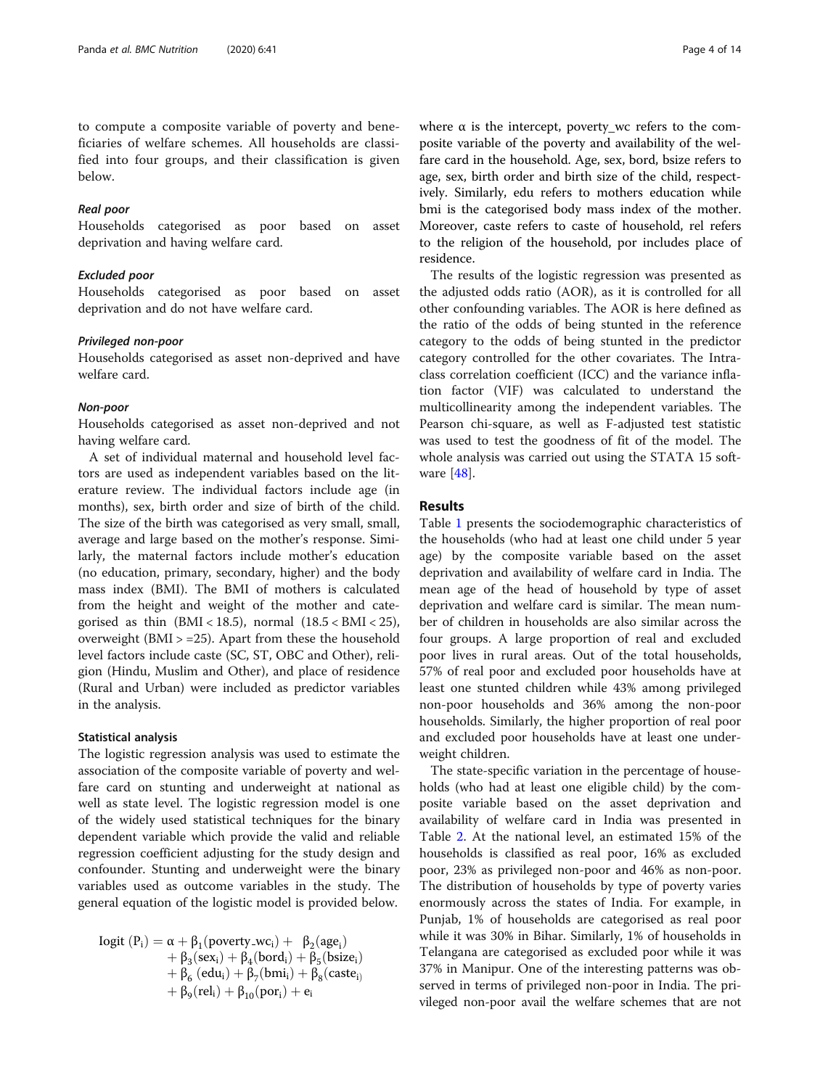to compute a composite variable of poverty and beneficiaries of welfare schemes. All households are classified into four groups, and their classification is given below.

#### Real poor

Households categorised as poor based on asset deprivation and having welfare card.

#### Excluded poor

Households categorised as poor based on asset deprivation and do not have welfare card.

#### Privileged non-poor

Households categorised as asset non-deprived and have welfare card.

#### Non-poor

Households categorised as asset non-deprived and not having welfare card.

A set of individual maternal and household level factors are used as independent variables based on the literature review. The individual factors include age (in months), sex, birth order and size of birth of the child. The size of the birth was categorised as very small, small, average and large based on the mother's response. Similarly, the maternal factors include mother's education (no education, primary, secondary, higher) and the body mass index (BMI). The BMI of mothers is calculated from the height and weight of the mother and categorised as thin  $(BMI < 18.5)$ , normal  $(18.5 < BMI < 25)$ , overweight ( $BMI > = 25$ ). Apart from these the household level factors include caste (SC, ST, OBC and Other), religion (Hindu, Muslim and Other), and place of residence (Rural and Urban) were included as predictor variables in the analysis.

#### Statistical analysis

The logistic regression analysis was used to estimate the association of the composite variable of poverty and welfare card on stunting and underweight at national as well as state level. The logistic regression model is one of the widely used statistical techniques for the binary dependent variable which provide the valid and reliable regression coefficient adjusting for the study design and confounder. Stunting and underweight were the binary variables used as outcome variables in the study. The general equation of the logistic model is provided below.

$$
\begin{matrix} \text{logit }(P_i)=\alpha+\beta_1(\text{poverty\_wc}_i)+\ \beta_2(\text{age}_i)\\+\beta_3(\text{sex}_i)+\beta_4(\text{bord}_i)+\beta_5(\text{bsize}_i)\\+\beta_6(\text{edu}_i)+\beta_7(\text{bmi}_i)+\beta_8(\text{caste}_i)\\+\beta_9(\text{rel}_i)+\beta_{10}(\text{por}_i)+e_i\end{matrix}
$$

where  $\alpha$  is the intercept, poverty\_wc refers to the composite variable of the poverty and availability of the welfare card in the household. Age, sex, bord, bsize refers to age, sex, birth order and birth size of the child, respectively. Similarly, edu refers to mothers education while bmi is the categorised body mass index of the mother. Moreover, caste refers to caste of household, rel refers to the religion of the household, por includes place of residence.

The results of the logistic regression was presented as the adjusted odds ratio (AOR), as it is controlled for all other confounding variables. The AOR is here defined as the ratio of the odds of being stunted in the reference category to the odds of being stunted in the predictor category controlled for the other covariates. The Intraclass correlation coefficient (ICC) and the variance inflation factor (VIF) was calculated to understand the multicollinearity among the independent variables. The Pearson chi-square, as well as F-adjusted test statistic was used to test the goodness of fit of the model. The whole analysis was carried out using the STATA 15 software [\[48\]](#page-13-0).

#### Results

Table [1](#page-4-0) presents the sociodemographic characteristics of the households (who had at least one child under 5 year age) by the composite variable based on the asset deprivation and availability of welfare card in India. The mean age of the head of household by type of asset deprivation and welfare card is similar. The mean number of children in households are also similar across the four groups. A large proportion of real and excluded poor lives in rural areas. Out of the total households, 57% of real poor and excluded poor households have at least one stunted children while 43% among privileged non-poor households and 36% among the non-poor households. Similarly, the higher proportion of real poor and excluded poor households have at least one underweight children.

The state-specific variation in the percentage of households (who had at least one eligible child) by the composite variable based on the asset deprivation and availability of welfare card in India was presented in Table [2.](#page-5-0) At the national level, an estimated 15% of the households is classified as real poor, 16% as excluded poor, 23% as privileged non-poor and 46% as non-poor. The distribution of households by type of poverty varies enormously across the states of India. For example, in Punjab, 1% of households are categorised as real poor while it was 30% in Bihar. Similarly, 1% of households in Telangana are categorised as excluded poor while it was 37% in Manipur. One of the interesting patterns was observed in terms of privileged non-poor in India. The privileged non-poor avail the welfare schemes that are not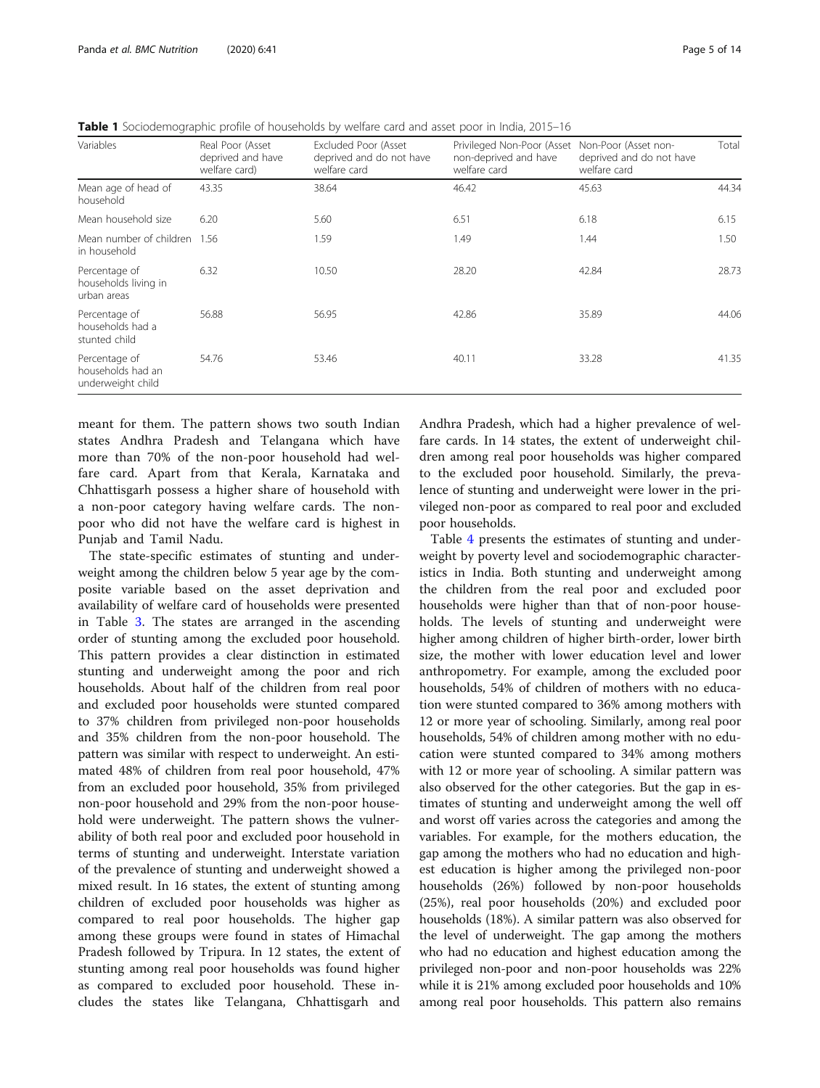<span id="page-4-0"></span>Table 1 Sociodemographic profile of households by welfare card and asset poor in India, 2015–16

| Variables                                                    | Real Poor (Asset<br>deprived and have<br>welfare card) | Excluded Poor (Asset<br>deprived and do not have<br>welfare card | Privileged Non-Poor (Asset<br>non-deprived and have<br>welfare card | Non-Poor (Asset non-<br>deprived and do not have<br>welfare card | Total |
|--------------------------------------------------------------|--------------------------------------------------------|------------------------------------------------------------------|---------------------------------------------------------------------|------------------------------------------------------------------|-------|
| Mean age of head of<br>household                             | 43.35                                                  | 38.64                                                            | 46.42                                                               | 45.63                                                            | 44.34 |
| Mean household size<br>6.20                                  |                                                        | 5.60                                                             | 6.51                                                                | 6.18                                                             | 6.15  |
| Mean number of children<br>1.56<br>in household              |                                                        | 1.59                                                             | 1.49                                                                | 1.44                                                             | 1.50  |
| 6.32<br>Percentage of<br>households living in<br>urban areas |                                                        | 10.50                                                            | 28.20                                                               | 42.84                                                            | 28.73 |
| 56.88<br>Percentage of<br>households had a<br>stunted child  |                                                        | 56.95                                                            | 42.86                                                               | 35.89                                                            | 44.06 |
| Percentage of<br>households had an<br>underweight child      | 54.76                                                  | 53.46                                                            | 40.11                                                               | 33.28                                                            | 41.35 |

meant for them. The pattern shows two south Indian states Andhra Pradesh and Telangana which have more than 70% of the non-poor household had welfare card. Apart from that Kerala, Karnataka and Chhattisgarh possess a higher share of household with a non-poor category having welfare cards. The nonpoor who did not have the welfare card is highest in Punjab and Tamil Nadu.

The state-specific estimates of stunting and underweight among the children below 5 year age by the composite variable based on the asset deprivation and availability of welfare card of households were presented in Table [3](#page-6-0). The states are arranged in the ascending order of stunting among the excluded poor household. This pattern provides a clear distinction in estimated stunting and underweight among the poor and rich households. About half of the children from real poor and excluded poor households were stunted compared to 37% children from privileged non-poor households and 35% children from the non-poor household. The pattern was similar with respect to underweight. An estimated 48% of children from real poor household, 47% from an excluded poor household, 35% from privileged non-poor household and 29% from the non-poor household were underweight. The pattern shows the vulnerability of both real poor and excluded poor household in terms of stunting and underweight. Interstate variation of the prevalence of stunting and underweight showed a mixed result. In 16 states, the extent of stunting among children of excluded poor households was higher as compared to real poor households. The higher gap among these groups were found in states of Himachal Pradesh followed by Tripura. In 12 states, the extent of stunting among real poor households was found higher as compared to excluded poor household. These includes the states like Telangana, Chhattisgarh and Andhra Pradesh, which had a higher prevalence of welfare cards. In 14 states, the extent of underweight children among real poor households was higher compared to the excluded poor household. Similarly, the prevalence of stunting and underweight were lower in the privileged non-poor as compared to real poor and excluded poor households.

Table [4](#page-7-0) presents the estimates of stunting and underweight by poverty level and sociodemographic characteristics in India. Both stunting and underweight among the children from the real poor and excluded poor households were higher than that of non-poor households. The levels of stunting and underweight were higher among children of higher birth-order, lower birth size, the mother with lower education level and lower anthropometry. For example, among the excluded poor households, 54% of children of mothers with no education were stunted compared to 36% among mothers with 12 or more year of schooling. Similarly, among real poor households, 54% of children among mother with no education were stunted compared to 34% among mothers with 12 or more year of schooling. A similar pattern was also observed for the other categories. But the gap in estimates of stunting and underweight among the well off and worst off varies across the categories and among the variables. For example, for the mothers education, the gap among the mothers who had no education and highest education is higher among the privileged non-poor households (26%) followed by non-poor households (25%), real poor households (20%) and excluded poor households (18%). A similar pattern was also observed for the level of underweight. The gap among the mothers who had no education and highest education among the privileged non-poor and non-poor households was 22% while it is 21% among excluded poor households and 10% among real poor households. This pattern also remains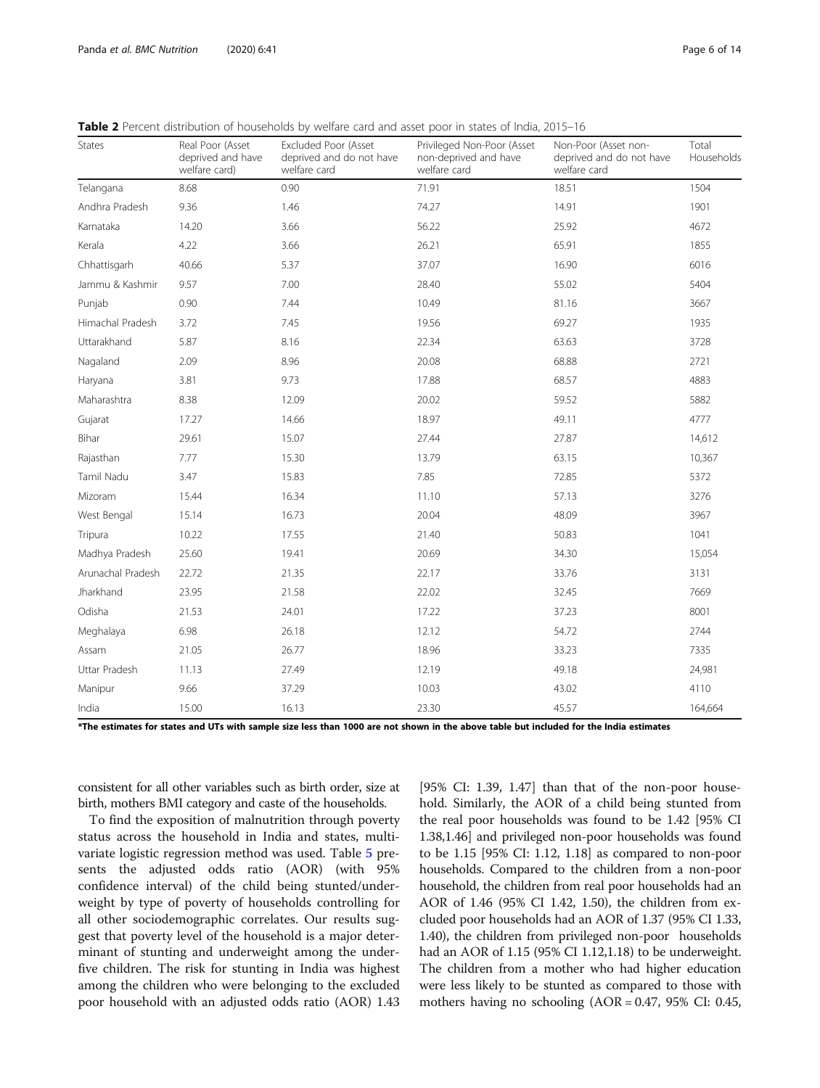<span id="page-5-0"></span>Table 2 Percent distribution of households by welfare card and asset poor in states of India, 2015–16

| States            | Real Poor (Asset<br>deprived and have<br>welfare card) | Excluded Poor (Asset<br>deprived and do not have<br>welfare card | Privileged Non-Poor (Asset<br>non-deprived and have<br>welfare card | Non-Poor (Asset non-<br>deprived and do not have<br>welfare card | Total<br>Households |
|-------------------|--------------------------------------------------------|------------------------------------------------------------------|---------------------------------------------------------------------|------------------------------------------------------------------|---------------------|
| Telangana         | 8.68                                                   | 0.90                                                             | 71.91                                                               | 18.51                                                            | 1504                |
| Andhra Pradesh    | 9.36                                                   | 1.46                                                             | 74.27                                                               | 14.91                                                            | 1901                |
| Karnataka         | 14.20                                                  | 3.66                                                             | 56.22                                                               | 25.92                                                            | 4672                |
| Kerala            | 4.22                                                   | 3.66                                                             | 26.21                                                               | 65.91                                                            | 1855                |
| Chhattisgarh      | 40.66                                                  | 5.37                                                             | 37.07                                                               | 16.90                                                            | 6016                |
| Jammu & Kashmir   | 9.57                                                   | 7.00                                                             | 28.40                                                               | 55.02                                                            | 5404                |
| Punjab            | 0.90                                                   | 7.44                                                             | 10.49                                                               | 81.16                                                            | 3667                |
| Himachal Pradesh  | 3.72                                                   | 7.45                                                             | 19.56                                                               | 69.27                                                            | 1935                |
| Uttarakhand       | 5.87                                                   | 8.16                                                             | 22.34                                                               | 63.63                                                            | 3728                |
| Nagaland          | 2.09                                                   | 8.96                                                             | 20.08                                                               | 68.88                                                            | 2721                |
| Haryana           | 3.81                                                   | 9.73                                                             | 17.88                                                               | 68.57                                                            | 4883                |
| Maharashtra       | 8.38                                                   | 12.09                                                            | 20.02                                                               | 59.52                                                            | 5882                |
| Gujarat           | 17.27                                                  | 14.66                                                            | 18.97                                                               | 49.11                                                            | 4777                |
| Bihar             | 29.61                                                  | 15.07                                                            | 27.44                                                               | 27.87                                                            | 14,612              |
| Rajasthan         | 7.77                                                   | 15.30                                                            | 13.79                                                               | 63.15                                                            | 10,367              |
| Tamil Nadu        | 3.47                                                   | 15.83                                                            | 7.85                                                                | 72.85                                                            | 5372                |
| Mizoram           | 15.44                                                  | 16.34                                                            | 11.10                                                               | 57.13                                                            | 3276                |
| West Bengal       | 15.14                                                  | 16.73                                                            | 20.04                                                               | 48.09                                                            | 3967                |
| Tripura           | 10.22                                                  | 17.55                                                            | 21.40                                                               | 50.83                                                            | 1041                |
| Madhya Pradesh    | 25.60                                                  | 19.41                                                            | 20.69                                                               | 34.30                                                            | 15,054              |
| Arunachal Pradesh | 22.72                                                  | 21.35                                                            | 22.17                                                               | 33.76                                                            | 3131                |
| Jharkhand         | 23.95                                                  | 21.58                                                            | 22.02                                                               | 32.45                                                            | 7669                |
| Odisha            | 21.53                                                  | 24.01                                                            | 17.22                                                               | 37.23                                                            | 8001                |
| Meghalaya         | 6.98                                                   | 26.18                                                            | 12.12                                                               | 54.72                                                            | 2744                |
| Assam             | 21.05                                                  | 26.77                                                            | 18.96                                                               | 33.23                                                            | 7335                |
| Uttar Pradesh     | 11.13                                                  | 27.49                                                            | 12.19                                                               | 49.18                                                            | 24,981              |
| Manipur           | 9.66                                                   | 37.29                                                            | 10.03                                                               | 43.02                                                            | 4110                |
| India             | 15.00                                                  | 16.13                                                            | 23.30                                                               | 45.57                                                            | 164,664             |

\*The estimates for states and UTs with sample size less than 1000 are not shown in the above table but included for the India estimates

consistent for all other variables such as birth order, size at birth, mothers BMI category and caste of the households.

To find the exposition of malnutrition through poverty status across the household in India and states, multivariate logistic regression method was used. Table [5](#page-9-0) presents the adjusted odds ratio (AOR) (with 95% confidence interval) of the child being stunted/underweight by type of poverty of households controlling for all other sociodemographic correlates. Our results suggest that poverty level of the household is a major determinant of stunting and underweight among the underfive children. The risk for stunting in India was highest among the children who were belonging to the excluded poor household with an adjusted odds ratio (AOR) 1.43

[95% CI: 1.39, 1.47] than that of the non-poor household. Similarly, the AOR of a child being stunted from the real poor households was found to be 1.42 [95% CI 1.38,1.46] and privileged non-poor households was found to be 1.15 [95% CI: 1.12, 1.18] as compared to non-poor households. Compared to the children from a non-poor household, the children from real poor households had an AOR of 1.46 (95% CI 1.42, 1.50), the children from excluded poor households had an AOR of 1.37 (95% CI 1.33, 1.40), the children from privileged non-poor households had an AOR of 1.15 (95% CI 1.12,1.18) to be underweight. The children from a mother who had higher education were less likely to be stunted as compared to those with mothers having no schooling (AOR = 0.47, 95% CI: 0.45,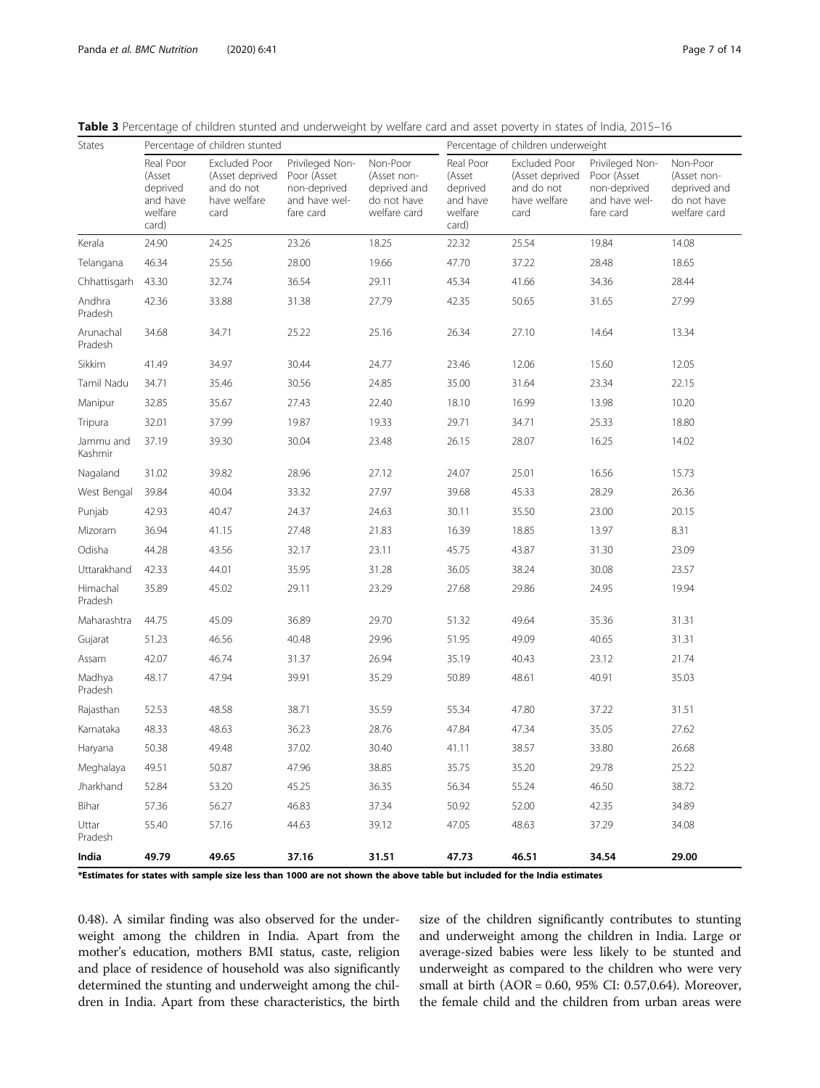<span id="page-6-0"></span>Table 3 Percentage of children stunted and underweight by welfare card and asset poverty in states of India, 2015–16

| States               |                                                                 | Percentage of children stunted                                         |                                                                              |                                                                        | Percentage of children underweight                              |                                                                               |                                                                              |                                                                        |
|----------------------|-----------------------------------------------------------------|------------------------------------------------------------------------|------------------------------------------------------------------------------|------------------------------------------------------------------------|-----------------------------------------------------------------|-------------------------------------------------------------------------------|------------------------------------------------------------------------------|------------------------------------------------------------------------|
|                      | Real Poor<br>(Asset<br>deprived<br>and have<br>welfare<br>card) | Excluded Poor<br>(Asset deprived<br>and do not<br>have welfare<br>card | Privileged Non-<br>Poor (Asset<br>non-deprived<br>and have wel-<br>fare card | Non-Poor<br>(Asset non-<br>deprived and<br>do not have<br>welfare card | Real Poor<br>(Asset<br>deprived<br>and have<br>welfare<br>card) | <b>Excluded Poor</b><br>(Asset deprived<br>and do not<br>have welfare<br>card | Privileged Non-<br>Poor (Asset<br>non-deprived<br>and have wel-<br>fare card | Non-Poor<br>(Asset non-<br>deprived and<br>do not have<br>welfare card |
| Kerala               | 24.90                                                           | 24.25                                                                  | 23.26                                                                        | 18.25                                                                  | 22.32                                                           | 25.54                                                                         | 19.84                                                                        | 14.08                                                                  |
| Telangana            | 46.34                                                           | 25.56                                                                  | 28.00                                                                        | 19.66                                                                  | 47.70                                                           | 37.22                                                                         | 28.48                                                                        | 18.65                                                                  |
| Chhattisgarh         | 43.30                                                           | 32.74                                                                  | 36.54                                                                        | 29.11                                                                  | 45.34                                                           | 41.66                                                                         | 34.36                                                                        | 28.44                                                                  |
| Andhra<br>Pradesh    | 42.36                                                           | 33.88                                                                  | 31.38                                                                        | 27.79                                                                  | 42.35                                                           | 50.65                                                                         | 31.65                                                                        | 27.99                                                                  |
| Arunachal<br>Pradesh | 34.68                                                           | 34.71                                                                  | 25.22                                                                        | 25.16                                                                  | 26.34                                                           | 27.10                                                                         | 14.64                                                                        | 13.34                                                                  |
| Sikkim               | 41.49                                                           | 34.97                                                                  | 30.44                                                                        | 24.77                                                                  | 23.46                                                           | 12.06                                                                         | 15.60                                                                        | 12.05                                                                  |
| Tamil Nadu           | 34.71                                                           | 35.46                                                                  | 30.56                                                                        | 24.85                                                                  | 35.00                                                           | 31.64                                                                         | 23.34                                                                        | 22.15                                                                  |
| Manipur              | 32.85                                                           | 35.67                                                                  | 27.43                                                                        | 22.40                                                                  | 18.10                                                           | 16.99                                                                         | 13.98                                                                        | 10.20                                                                  |
| Tripura              | 32.01                                                           | 37.99                                                                  | 19.87                                                                        | 19.33                                                                  | 29.71                                                           | 34.71                                                                         | 25.33                                                                        | 18.80                                                                  |
| Jammu and<br>Kashmir | 37.19                                                           | 39.30                                                                  | 30.04                                                                        | 23.48                                                                  | 26.15                                                           | 28.07                                                                         | 16.25                                                                        | 14.02                                                                  |
| Nagaland             | 31.02                                                           | 39.82                                                                  | 28.96                                                                        | 27.12                                                                  | 24.07                                                           | 25.01                                                                         | 16.56                                                                        | 15.73                                                                  |
| West Bengal          | 39.84                                                           | 40.04                                                                  | 33.32                                                                        | 27.97                                                                  | 39.68                                                           | 45.33                                                                         | 28.29                                                                        | 26.36                                                                  |
| Punjab               | 42.93                                                           | 40.47                                                                  | 24.37                                                                        | 24.63                                                                  | 30.11                                                           | 35.50                                                                         | 23.00                                                                        | 20.15                                                                  |
| Mizoram              | 36.94                                                           | 41.15                                                                  | 27.48                                                                        | 21.83                                                                  | 16.39                                                           | 18.85                                                                         | 13.97                                                                        | 8.31                                                                   |
| Odisha               | 44.28                                                           | 43.56                                                                  | 32.17                                                                        | 23.11                                                                  | 45.75                                                           | 43.87                                                                         | 31.30                                                                        | 23.09                                                                  |
| Uttarakhand          | 42.33                                                           | 44.01                                                                  | 35.95                                                                        | 31.28                                                                  | 36.05                                                           | 38.24                                                                         | 30.08                                                                        | 23.57                                                                  |
| Himachal<br>Pradesh  | 35.89                                                           | 45.02                                                                  | 29.11                                                                        | 23.29                                                                  | 27.68                                                           | 29.86                                                                         | 24.95                                                                        | 19.94                                                                  |
| Maharashtra          | 44.75                                                           | 45.09                                                                  | 36.89                                                                        | 29.70                                                                  | 51.32                                                           | 49.64                                                                         | 35.36                                                                        | 31.31                                                                  |
| Gujarat              | 51.23                                                           | 46.56                                                                  | 40.48                                                                        | 29.96                                                                  | 51.95                                                           | 49.09                                                                         | 40.65                                                                        | 31.31                                                                  |
| Assam                | 42.07                                                           | 46.74                                                                  | 31.37                                                                        | 26.94                                                                  | 35.19                                                           | 40.43                                                                         | 23.12                                                                        | 21.74                                                                  |
| Madhya<br>Pradesh    | 48.17                                                           | 47.94                                                                  | 39.91                                                                        | 35.29                                                                  | 50.89                                                           | 48.61                                                                         | 40.91                                                                        | 35.03                                                                  |
| Rajasthan            | 52.53                                                           | 48.58                                                                  | 38.71                                                                        | 35.59                                                                  | 55.34                                                           | 47.80                                                                         | 37.22                                                                        | 31.51                                                                  |
| Karnataka            | 48.33                                                           | 48.63                                                                  | 36.23                                                                        | 28.76                                                                  | 47.84                                                           | 47.34                                                                         | 35.05                                                                        | 27.62                                                                  |
| Haryana              | 50.38                                                           | 49.48                                                                  | 37.02                                                                        | 30.40                                                                  | 41.11                                                           | 38.57                                                                         | 33.80                                                                        | 26.68                                                                  |
| Meghalaya            | 49.51                                                           | 50.87                                                                  | 47.96                                                                        | 38.85                                                                  | 35.75                                                           | 35.20                                                                         | 29.78                                                                        | 25.22                                                                  |
| Jharkhand            | 52.84                                                           | 53.20                                                                  | 45.25                                                                        | 36.35                                                                  | 56.34                                                           | 55.24                                                                         | 46.50                                                                        | 38.72                                                                  |
| Bihar                | 57.36                                                           | 56.27                                                                  | 46.83                                                                        | 37.34                                                                  | 50.92                                                           | 52.00                                                                         | 42.35                                                                        | 34.89                                                                  |
| Uttar<br>Pradesh     | 55.40                                                           | 57.16                                                                  | 44.63                                                                        | 39.12                                                                  | 47.05                                                           | 48.63                                                                         | 37.29                                                                        | 34.08                                                                  |
| India                | 49.79                                                           | 49.65                                                                  | 37.16                                                                        | 31.51                                                                  | 47.73                                                           | 46.51                                                                         | 34.54                                                                        | 29.00                                                                  |

\*Estimates for states with sample size less than 1000 are not shown the above table but included for the India estimates

0.48). A similar finding was also observed for the underweight among the children in India. Apart from the mother's education, mothers BMI status, caste, religion and place of residence of household was also significantly determined the stunting and underweight among the children in India. Apart from these characteristics, the birth size of the children significantly contributes to stunting and underweight among the children in India. Large or average-sized babies were less likely to be stunted and underweight as compared to the children who were very small at birth (AOR = 0.60, 95% CI: 0.57,0.64). Moreover, the female child and the children from urban areas were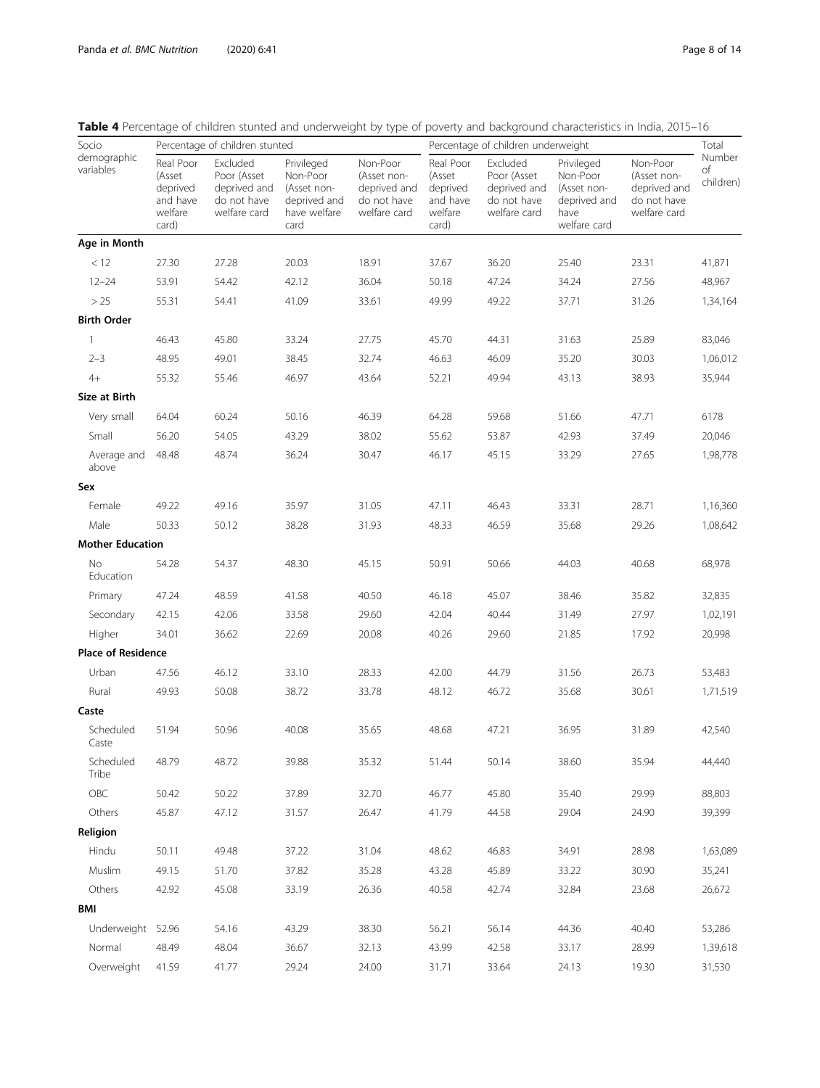<span id="page-7-0"></span>Table 4 Percentage of children stunted and underweight by type of poverty and background characteristics in India, 2015-16

| Socio<br>demographic<br>variables |                                                                 | Percentage of children stunted                                         |                                                                               |                                                                        |                                                                 | Percentage of children underweight                                     |                                                                               |                                                                        |                           |
|-----------------------------------|-----------------------------------------------------------------|------------------------------------------------------------------------|-------------------------------------------------------------------------------|------------------------------------------------------------------------|-----------------------------------------------------------------|------------------------------------------------------------------------|-------------------------------------------------------------------------------|------------------------------------------------------------------------|---------------------------|
|                                   | Real Poor<br>(Asset<br>deprived<br>and have<br>welfare<br>card) | Excluded<br>Poor (Asset<br>deprived and<br>do not have<br>welfare card | Privileged<br>Non-Poor<br>(Asset non-<br>deprived and<br>have welfare<br>card | Non-Poor<br>(Asset non-<br>deprived and<br>do not have<br>welfare card | Real Poor<br>(Asset<br>deprived<br>and have<br>welfare<br>card) | Excluded<br>Poor (Asset<br>deprived and<br>do not have<br>welfare card | Privileged<br>Non-Poor<br>(Asset non-<br>deprived and<br>have<br>welfare card | Non-Poor<br>(Asset non-<br>deprived and<br>do not have<br>welfare card | Number<br>of<br>children) |
| Age in Month                      |                                                                 |                                                                        |                                                                               |                                                                        |                                                                 |                                                                        |                                                                               |                                                                        |                           |
| < 12                              | 27.30                                                           | 27.28                                                                  | 20.03                                                                         | 18.91                                                                  | 37.67                                                           | 36.20                                                                  | 25.40                                                                         | 23.31                                                                  | 41,871                    |
| $12 - 24$                         | 53.91                                                           | 54.42                                                                  | 42.12                                                                         | 36.04                                                                  | 50.18                                                           | 47.24                                                                  | 34.24                                                                         | 27.56                                                                  | 48,967                    |
| >25                               | 55.31                                                           | 54.41                                                                  | 41.09                                                                         | 33.61                                                                  | 49.99                                                           | 49.22                                                                  | 37.71                                                                         | 31.26                                                                  | 1,34,164                  |
| <b>Birth Order</b>                |                                                                 |                                                                        |                                                                               |                                                                        |                                                                 |                                                                        |                                                                               |                                                                        |                           |
| 1                                 | 46.43                                                           | 45.80                                                                  | 33.24                                                                         | 27.75                                                                  | 45.70                                                           | 44.31                                                                  | 31.63                                                                         | 25.89                                                                  | 83,046                    |
| $2 - 3$                           | 48.95                                                           | 49.01                                                                  | 38.45                                                                         | 32.74                                                                  | 46.63                                                           | 46.09                                                                  | 35.20                                                                         | 30.03                                                                  | 1,06,012                  |
| $4+$                              | 55.32                                                           | 55.46                                                                  | 46.97                                                                         | 43.64                                                                  | 52.21                                                           | 49.94                                                                  | 43.13                                                                         | 38.93                                                                  | 35,944                    |
| Size at Birth                     |                                                                 |                                                                        |                                                                               |                                                                        |                                                                 |                                                                        |                                                                               |                                                                        |                           |
| Very small                        | 64.04                                                           | 60.24                                                                  | 50.16                                                                         | 46.39                                                                  | 64.28                                                           | 59.68                                                                  | 51.66                                                                         | 47.71                                                                  | 6178                      |
| Small                             | 56.20                                                           | 54.05                                                                  | 43.29                                                                         | 38.02                                                                  | 55.62                                                           | 53.87                                                                  | 42.93                                                                         | 37.49                                                                  | 20,046                    |
| Average and<br>above              | 48.48                                                           | 48.74                                                                  | 36.24                                                                         | 30.47                                                                  | 46.17                                                           | 45.15                                                                  | 33.29                                                                         | 27.65                                                                  | 1,98,778                  |
| Sex                               |                                                                 |                                                                        |                                                                               |                                                                        |                                                                 |                                                                        |                                                                               |                                                                        |                           |
| Female                            | 49.22                                                           | 49.16                                                                  | 35.97                                                                         | 31.05                                                                  | 47.11                                                           | 46.43                                                                  | 33.31                                                                         | 28.71                                                                  | 1,16,360                  |
| Male                              | 50.33                                                           | 50.12                                                                  | 38.28                                                                         | 31.93                                                                  | 48.33                                                           | 46.59                                                                  | 35.68                                                                         | 29.26                                                                  | 1,08,642                  |
| <b>Mother Education</b>           |                                                                 |                                                                        |                                                                               |                                                                        |                                                                 |                                                                        |                                                                               |                                                                        |                           |
| No<br>Education                   | 54.28                                                           | 54.37                                                                  | 48.30                                                                         | 45.15                                                                  | 50.91                                                           | 50.66                                                                  | 44.03                                                                         | 40.68                                                                  | 68,978                    |
| Primary                           | 47.24                                                           | 48.59                                                                  | 41.58                                                                         | 40.50                                                                  | 46.18                                                           | 45.07                                                                  | 38.46                                                                         | 35.82                                                                  | 32,835                    |
| Secondary                         | 42.15                                                           | 42.06                                                                  | 33.58                                                                         | 29.60                                                                  | 42.04                                                           | 40.44                                                                  | 31.49                                                                         | 27.97                                                                  | 1,02,191                  |
| Higher                            | 34.01                                                           | 36.62                                                                  | 22.69                                                                         | 20.08                                                                  | 40.26                                                           | 29.60                                                                  | 21.85                                                                         | 17.92                                                                  | 20,998                    |
| <b>Place of Residence</b>         |                                                                 |                                                                        |                                                                               |                                                                        |                                                                 |                                                                        |                                                                               |                                                                        |                           |
| Urban                             | 47.56                                                           | 46.12                                                                  | 33.10                                                                         | 28.33                                                                  | 42.00                                                           | 44.79                                                                  | 31.56                                                                         | 26.73                                                                  | 53,483                    |
| Rural                             | 49.93                                                           | 50.08                                                                  | 38.72                                                                         | 33.78                                                                  | 48.12                                                           | 46.72                                                                  | 35.68                                                                         | 30.61                                                                  | 1,71,519                  |
| Caste                             |                                                                 |                                                                        |                                                                               |                                                                        |                                                                 |                                                                        |                                                                               |                                                                        |                           |
| Scheduled<br>Caste                | 51.94                                                           | 50.96                                                                  | 40.08                                                                         | 35.65                                                                  | 48.68                                                           | 47.21                                                                  | 36.95                                                                         | 31.89                                                                  | 42,540                    |
| Scheduled<br>Tribe                | 48.79                                                           | 48.72                                                                  | 39.88                                                                         | 35.32                                                                  | 51.44                                                           | 50.14                                                                  | 38.60                                                                         | 35.94                                                                  | 44,440                    |
| OBC                               | 50.42                                                           | 50.22                                                                  | 37.89                                                                         | 32.70                                                                  | 46.77                                                           | 45.80                                                                  | 35.40                                                                         | 29.99                                                                  | 88,803                    |
| Others                            | 45.87                                                           | 47.12                                                                  | 31.57                                                                         | 26.47                                                                  | 41.79                                                           | 44.58                                                                  | 29.04                                                                         | 24.90                                                                  | 39,399                    |
| Religion                          |                                                                 |                                                                        |                                                                               |                                                                        |                                                                 |                                                                        |                                                                               |                                                                        |                           |
| Hindu                             | 50.11                                                           | 49.48                                                                  | 37.22                                                                         | 31.04                                                                  | 48.62                                                           | 46.83                                                                  | 34.91                                                                         | 28.98                                                                  | 1,63,089                  |
| Muslim                            | 49.15                                                           | 51.70                                                                  | 37.82                                                                         | 35.28                                                                  | 43.28                                                           | 45.89                                                                  | 33.22                                                                         | 30.90                                                                  | 35,241                    |
| Others                            | 42.92                                                           | 45.08                                                                  | 33.19                                                                         | 26.36                                                                  | 40.58                                                           | 42.74                                                                  | 32.84                                                                         | 23.68                                                                  | 26,672                    |
| BMI                               |                                                                 |                                                                        |                                                                               |                                                                        |                                                                 |                                                                        |                                                                               |                                                                        |                           |
| Underweight 52.96                 |                                                                 | 54.16                                                                  | 43.29                                                                         | 38.30                                                                  | 56.21                                                           | 56.14                                                                  | 44.36                                                                         | 40.40                                                                  | 53,286                    |
| Normal                            | 48.49                                                           | 48.04                                                                  | 36.67                                                                         | 32.13                                                                  | 43.99                                                           | 42.58                                                                  | 33.17                                                                         | 28.99                                                                  | 1,39,618                  |
| Overweight                        | 41.59                                                           | 41.77                                                                  | 29.24                                                                         | 24.00                                                                  | 31.71                                                           | 33.64                                                                  | 24.13                                                                         | 19.30                                                                  | 31,530                    |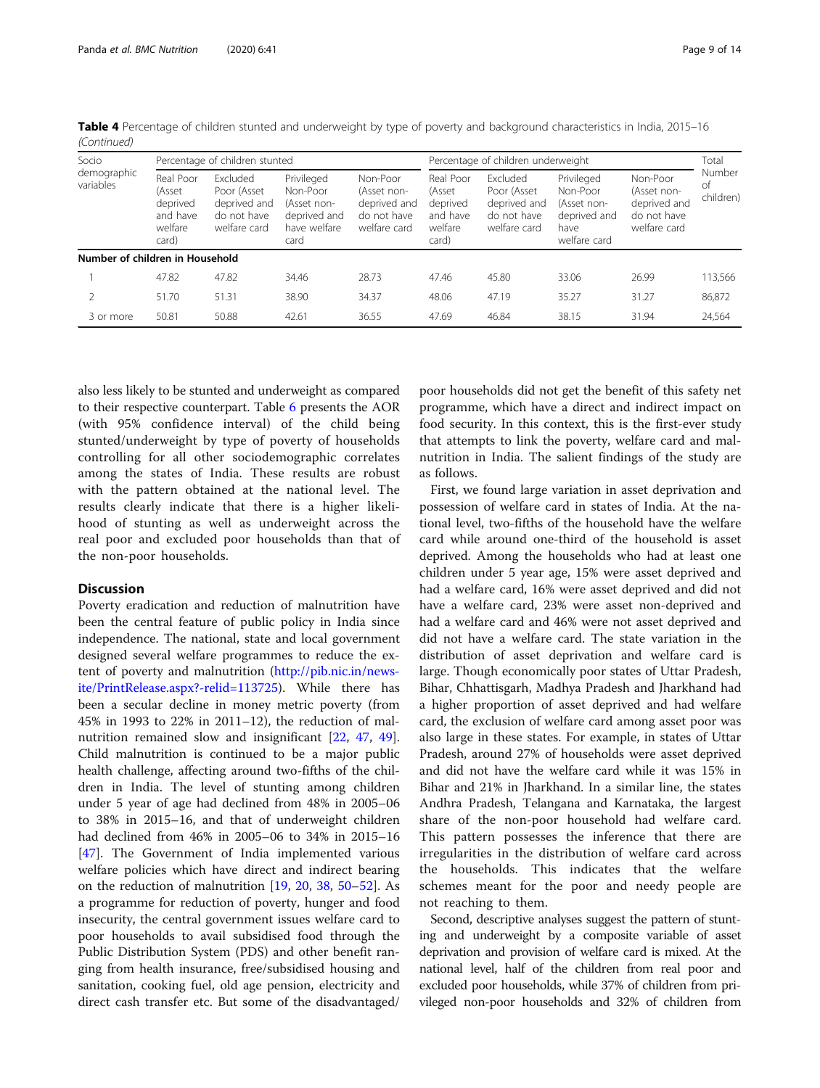| Socio<br>demographic<br>variables |                                                                 | Percentage of children stunted                                         |                                                                               |                                                                        | Percentage of children underweight                              |                                                                        |                                                                               |                                                                        | Total                     |
|-----------------------------------|-----------------------------------------------------------------|------------------------------------------------------------------------|-------------------------------------------------------------------------------|------------------------------------------------------------------------|-----------------------------------------------------------------|------------------------------------------------------------------------|-------------------------------------------------------------------------------|------------------------------------------------------------------------|---------------------------|
|                                   | Real Poor<br>(Asset<br>deprived<br>and have<br>welfare<br>card) | Excluded<br>Poor (Asset<br>deprived and<br>do not have<br>welfare card | Privileged<br>Non-Poor<br>(Asset non-<br>deprived and<br>have welfare<br>card | Non-Poor<br>(Asset non-<br>deprived and<br>do not have<br>welfare card | Real Poor<br>(Asset<br>deprived<br>and have<br>welfare<br>card) | Excluded<br>Poor (Asset<br>deprived and<br>do not have<br>welfare card | Privileged<br>Non-Poor<br>(Asset non-<br>deprived and<br>have<br>welfare card | Non-Poor<br>(Asset non-<br>deprived and<br>do not have<br>welfare card | Number<br>of<br>children) |
| Number of children in Household   |                                                                 |                                                                        |                                                                               |                                                                        |                                                                 |                                                                        |                                                                               |                                                                        |                           |
|                                   | 47.82                                                           | 47.82                                                                  | 34.46                                                                         | 28.73                                                                  | 47.46                                                           | 45.80                                                                  | 33.06                                                                         | 26.99                                                                  | 113,566                   |
|                                   | 51.70                                                           | 51.31                                                                  | 38.90                                                                         | 34.37                                                                  | 48.06                                                           | 47.19                                                                  | 35.27                                                                         | 31.27                                                                  | 86,872                    |
| 3 or more                         | 50.81                                                           | 50.88                                                                  | 42.61                                                                         | 36.55                                                                  | 47.69                                                           | 46.84                                                                  | 38.15                                                                         | 31.94                                                                  | 24,564                    |

Table 4 Percentage of children stunted and underweight by type of poverty and background characteristics in India, 2015–16 (Continued)

also less likely to be stunted and underweight as compared to their respective counterpart. Table [6](#page-10-0) presents the AOR (with 95% confidence interval) of the child being stunted/underweight by type of poverty of households controlling for all other sociodemographic correlates among the states of India. These results are robust with the pattern obtained at the national level. The results clearly indicate that there is a higher likelihood of stunting as well as underweight across the real poor and excluded poor households than that of the non-poor households.

#### Discussion

Poverty eradication and reduction of malnutrition have been the central feature of public policy in India since independence. The national, state and local government designed several welfare programmes to reduce the extent of poverty and malnutrition [\(http://pib.nic.in/news](http://pib.nic.in/newsite/PrintRelease.aspx?-relid=113725)[ite/PrintRelease.aspx?-relid=113725\)](http://pib.nic.in/newsite/PrintRelease.aspx?-relid=113725). While there has been a secular decline in money metric poverty (from 45% in 1993 to 22% in 2011–12), the reduction of malnutrition remained slow and insignificant [[22,](#page-12-0) [47](#page-13-0), [49](#page-13-0)]. Child malnutrition is continued to be a major public health challenge, affecting around two-fifths of the children in India. The level of stunting among children under 5 year of age had declined from 48% in 2005–06 to 38% in 2015–16, and that of underweight children had declined from 46% in 2005–06 to 34% in 2015–16 [[47\]](#page-13-0). The Government of India implemented various welfare policies which have direct and indirect bearing on the reduction of malnutrition [\[19](#page-12-0), [20,](#page-12-0) [38,](#page-13-0) [50](#page-13-0)–[52](#page-13-0)]. As a programme for reduction of poverty, hunger and food insecurity, the central government issues welfare card to poor households to avail subsidised food through the Public Distribution System (PDS) and other benefit ranging from health insurance, free/subsidised housing and sanitation, cooking fuel, old age pension, electricity and direct cash transfer etc. But some of the disadvantaged/

poor households did not get the benefit of this safety net programme, which have a direct and indirect impact on food security. In this context, this is the first-ever study that attempts to link the poverty, welfare card and malnutrition in India. The salient findings of the study are as follows.

First, we found large variation in asset deprivation and possession of welfare card in states of India. At the national level, two-fifths of the household have the welfare card while around one-third of the household is asset deprived. Among the households who had at least one children under 5 year age, 15% were asset deprived and had a welfare card, 16% were asset deprived and did not have a welfare card, 23% were asset non-deprived and had a welfare card and 46% were not asset deprived and did not have a welfare card. The state variation in the distribution of asset deprivation and welfare card is large. Though economically poor states of Uttar Pradesh, Bihar, Chhattisgarh, Madhya Pradesh and Jharkhand had a higher proportion of asset deprived and had welfare card, the exclusion of welfare card among asset poor was also large in these states. For example, in states of Uttar Pradesh, around 27% of households were asset deprived and did not have the welfare card while it was 15% in Bihar and 21% in Jharkhand. In a similar line, the states Andhra Pradesh, Telangana and Karnataka, the largest share of the non-poor household had welfare card. This pattern possesses the inference that there are irregularities in the distribution of welfare card across the households. This indicates that the welfare schemes meant for the poor and needy people are not reaching to them.

Second, descriptive analyses suggest the pattern of stunting and underweight by a composite variable of asset deprivation and provision of welfare card is mixed. At the national level, half of the children from real poor and excluded poor households, while 37% of children from privileged non-poor households and 32% of children from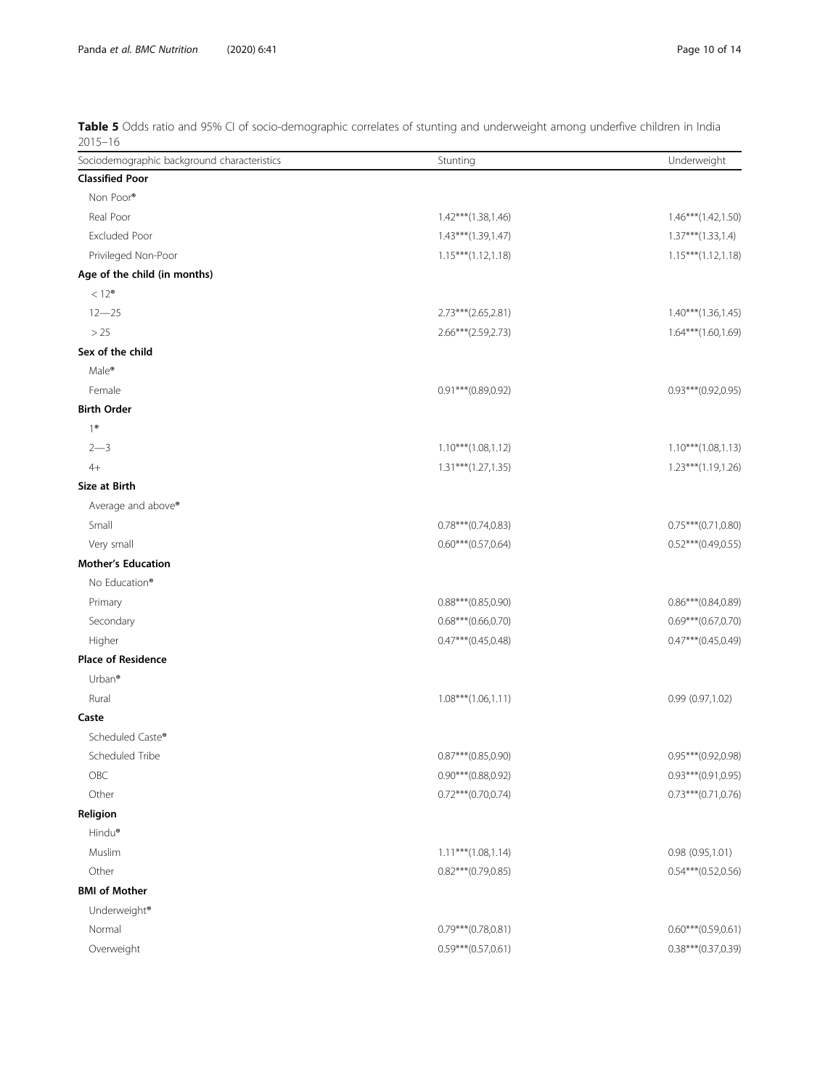<span id="page-9-0"></span>Table 5 Odds ratio and 95% CI of socio-demographic correlates of stunting and underweight among underfive children in India 2015–16

| Sociodemographic background characteristics | Stunting               | Underweight           |
|---------------------------------------------|------------------------|-----------------------|
| <b>Classified Poor</b>                      |                        |                       |
| Non Poor®                                   |                        |                       |
| Real Poor                                   | 1.42***(1.38,1.46)     | $1.46***(1.42,1.50)$  |
| <b>Excluded Poor</b>                        | $1.43***$ (1.39,1.47)  | $1.37***$ (1.33,1.4)  |
| Privileged Non-Poor                         | $1.15***(1.12,1.18)$   | $1.15***(1.12,1.18)$  |
| Age of the child (in months)                |                        |                       |
| $<12®$                                      |                        |                       |
| $12 - 25$                                   | $2.73***$ (2.65, 2.81) | $1.40***(1.36,1.45)$  |
| >25                                         | 2.66***(2.59,2.73)     | $1.64***(1.60,1.69)$  |
| Sex of the child                            |                        |                       |
| Male®                                       |                        |                       |
| Female                                      | $0.91***$ (0.89, 0.92) | $0.93***$ (0.92,0.95) |
| <b>Birth Order</b>                          |                        |                       |
| $1^{\circ}$                                 |                        |                       |
| $2 - 3$                                     | $1.10***$ (1.08,1.12)  | $1.10***$ (1.08,1.13) |
| $4+$                                        | $1.31***(1.27,1.35)$   | $1.23***(1.19,1.26)$  |
| Size at Birth                               |                        |                       |
| Average and above®                          |                        |                       |
| Small                                       | $0.78***$ (0.74, 0.83) | $0.75***(0.71,0.80)$  |
| Very small                                  | $0.60***(0.57,0.64)$   | $0.52***(0.49,0.55)$  |
| <b>Mother's Education</b>                   |                        |                       |
| No Education®                               |                        |                       |
| Primary                                     | $0.88***$ (0.85,0.90)  | $0.86***(0.84,0.89)$  |
| Secondary                                   | $0.68***(0.66,0.70)$   | $0.69***(0.67,0.70)$  |
| Higher                                      | $0.47***$ (0.45, 0.48) | $0.47***(0.45,0.49)$  |
| <b>Place of Residence</b>                   |                        |                       |
| Urban®                                      |                        |                       |
| Rural                                       | $1.08***$ (1.06,1.11)  | 0.99 (0.97,1.02)      |
| Caste                                       |                        |                       |
| Scheduled Caste®                            |                        |                       |
| Scheduled Tribe                             | $0.87***$ (0.85,0.90)  | $0.95***$ (0.92,0.98) |
| OBC                                         | $0.90***$ (0.88,0.92)  | $0.93***$ (0.91,0.95) |
| Other                                       | $0.72***$ (0.70,0.74)  | $0.73***(0.71,0.76)$  |
| Religion                                    |                        |                       |
| Hindu <sup>®</sup>                          |                        |                       |
| Muslim                                      | $1.11***$ (1.08,1.14)  | 0.98 (0.95,1.01)      |
| Other                                       | $0.82***(0.79,0.85)$   | $0.54***(0.52,0.56)$  |
| <b>BMI of Mother</b>                        |                        |                       |
| Underweight®                                |                        |                       |
| Normal                                      | $0.79***$ (0.78,0.81)  | $0.60***(0.59,0.61)$  |
| Overweight                                  | $0.59***(0.57,0.61)$   | $0.38***(0.37,0.39)$  |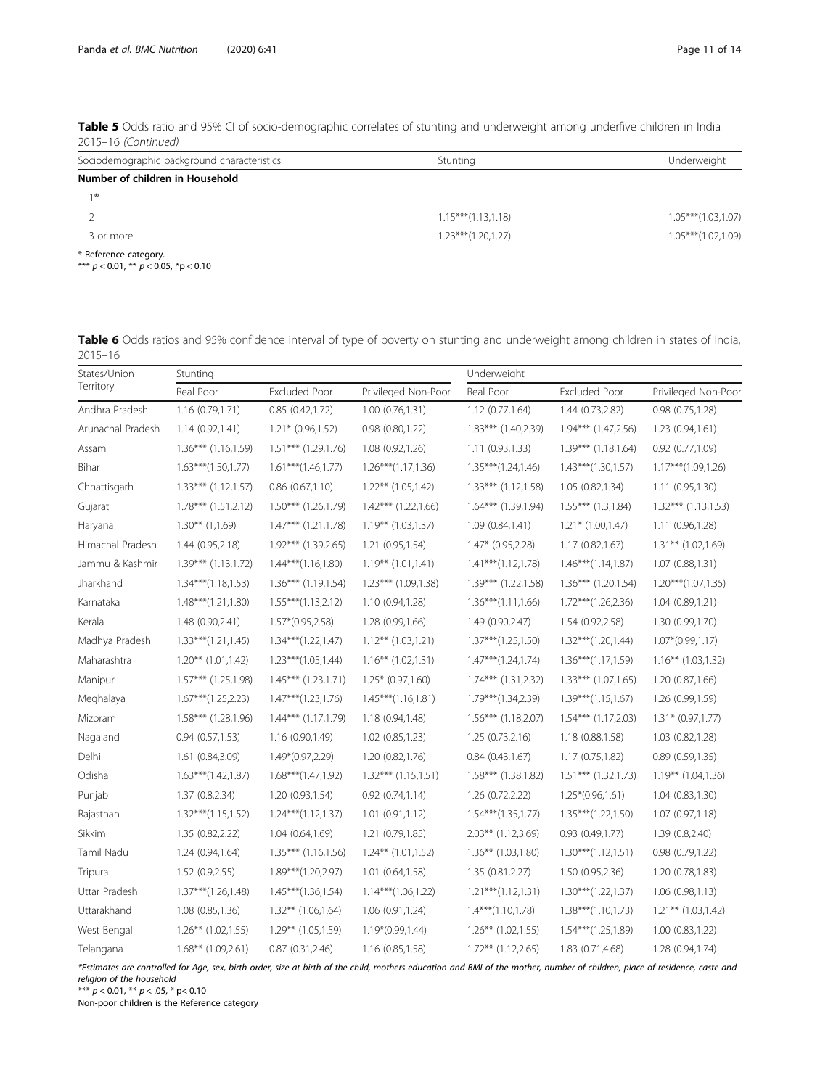<span id="page-10-0"></span>Table 5 Odds ratio and 95% CI of socio-demographic correlates of stunting and underweight among underfive children in India 2015–16 (Continued)

| Sociodemographic background characteristics | Stunting             | Underweight           |
|---------------------------------------------|----------------------|-----------------------|
| Number of children in Household             |                      |                       |
| 100                                         |                      |                       |
|                                             | $1.15***(1.13,1.18)$ | $1.05***(1.03,1.07)$  |
| 3 or more                                   | $1.23***(1.20,1.27)$ | $1.05***$ (1.02,1.09) |
| <sup>®</sup> Reference category.            |                      |                       |

\*\*\* p < 0.01, \*\* p < 0.05, \*p < 0.10

Table 6 Odds ratios and 95% confidence interval of type of poverty on stunting and underweight among children in states of India, 2015–16

| States/Union      | Stunting                 |                         |                         | Underweight              |                         |                         |
|-------------------|--------------------------|-------------------------|-------------------------|--------------------------|-------------------------|-------------------------|
| Territory         | Real Poor                | <b>Excluded Poor</b>    | Privileged Non-Poor     | Real Poor                | <b>Excluded Poor</b>    | Privileged Non-Poor     |
| Andhra Pradesh    | 1.16 (0.79,1.71)         | 0.85(0.42, 1.72)        | 1.00(0.76, 1.31)        | 1.12(0.77, 1.64)         | 1.44 (0.73,2.82)        | 0.98(0.75, 1.28)        |
| Arunachal Pradesh | 1.14(0.92, 1.41)         | $1.21*$ (0.96,1.52)     | 0.98 (0.80,1.22)        | 1.83*** (1.40,2.39)      | $1.94***$ $(1.47,2.56)$ | 1.23(0.94, 1.61)        |
| Assam             | $1.36***$ $(1.16, 1.59)$ | $1.51***$ (1.29,1.76)   | 1.08 (0.92,1.26)        | 1.11(0.93, 1.33)         | $1.39***$ $(1.18,1.64)$ | 0.92(0.77,1.09)         |
| Bihar             | $1.63***(1.50,1.77)$     | $1.61***(1.46,1.77)$    | $1.26***(1.17,1.36)$    | $1.35***(1.24,1.46)$     | $1.43***(1.30,1.57)$    | $1.17***$ (1.09,1.26)   |
| Chhattisgarh      | $1.33***$ $(1.12,1.57)$  | $0.86$ $(0.67, 1.10)$   | $1.22***$ $(1.05,1.42)$ | $1.33***$ $(1.12,1.58)$  | 1.05 (0.82,1.34)        | 1.11(0.95, 1.30)        |
| Gujarat           | $1.78***$ $(1.51,2.12)$  | 1.50*** (1.26,1.79)     | $1.42***$ $(1.22,1.66)$ | $1.64***$ $(1.39,1.94)$  | $1.55***$ $(1.3,1.84)$  | $1.32***$ $(1.13,1.53)$ |
| Haryana           | $1.30**$ (1,1.69)        | $1.47***$ $(1.21,1.78)$ | $1.19***$ $(1.03,1.37)$ | 1.09(0.84, 1.41)         | $1.21*$ (1.00,1.47)     | 1.11 (0.96,1.28)        |
| Himachal Pradesh  | 1.44 (0.95,2.18)         | 1.92*** (1.39,2.65)     | 1.21(0.95, 1.54)        | $1.47*$ (0.95,2.28)      | 1.17(0.82, 1.67)        | $1.31***$ $(1.02,1.69)$ |
| Jammu & Kashmir   | $1.39***$ $(1.13,1.72)$  | $1.44***(1.16,1.80)$    | $1.19***$ $(1.01,1.41)$ | $1.41***(1.12,1.78)$     | $1.46***(1.14,1.87)$    | 1.07 (0.88,1.31)        |
| Jharkhand         | $1.34***(1.18,1.53)$     | $1.36***$ $(1.19,1.54)$ | $1.23***$ (1.09,1.38)   | $1.39***$ $(1.22, 1.58)$ | $1.36***$ $(1.20,1.54)$ | $1.20***$ (1.07,1.35)   |
| Karnataka         | $1.48***(1.21,1.80)$     | $1.55***(1.13,2.12)$    | 1.10 (0.94,1.28)        | $1.36***(1.11,1.66)$     | $1.72***$ (1.26,2.36)   | 1.04 (0.89,1.21)        |
| Kerala            | 1.48 (0.90,2.41)         | $1.57*(0.95,2.58)$      | 1.28 (0.99,1.66)        | 1.49 (0.90,2.47)         | 1.54 (0.92,2.58)        | 1.30 (0.99,1.70)        |
| Madhya Pradesh    | $1.33***(1.21,1.45)$     | $1.34***(1.22,1.47)$    | $1.12***$ $(1.03,1.21)$ | $1.37***$ (1.25,1.50)    | $1.32***(1.20,1.44)$    | $1.07*(0.99,1.17)$      |
| Maharashtra       | $1.20***$ $(1.01,1.42)$  | $1.23***$ (1.05,1.44)   | $1.16***$ (1.02,1.31)   | $1.47***(1.24,1.74)$     | $1.36***(1.17,1.59)$    | $1.16***$ (1.03,1.32)   |
| Manipur           | $1.57***$ (1.25,1.98)    | $1.45***$ $(1.23,1.71)$ | $1.25*$ (0.97,1.60)     | $1.74***$ $(1.31,2.32)$  | $1.33***$ (1.07,1.65)   | 1.20(0.87,1.66)         |
| Meghalaya         | $1.67***$ (1.25,2.23)    | $1.47***(1.23,1.76)$    | $1.45***(1.16,1.81)$    | 1.79***(1.34,2.39)       | $1.39***(1.15,1.67)$    | 1.26 (0.99,1.59)        |
| Mizoram           | $1.58***$ (1.28,1.96)    | $1.44***$ $(1.17,1.79)$ | 1.18 (0.94,1.48)        | $1.56***$ (1.18,2.07)    | $1.54***$ (1.17,2.03)   | $1.31*$ (0.97,1.77)     |
| Nagaland          | 0.94(0.57,1.53)          | 1.16 (0.90,1.49)        | 1.02(0.85, 1.23)        | 1.25(0.73, 2.16)         | 1.18 (0.88,1.58)        | 1.03 (0.82,1.28)        |
| Delhi             | 1.61 (0.84,3.09)         | 1.49*(0.97,2.29)        | 1.20(0.82, 1.76)        | 0.84(0.43, 1.67)         | 1.17(0.75, 1.82)        | 0.89(0.59, 1.35)        |
| Odisha            | $1.63***(1.42,1.87)$     | $1.68***(1.47,1.92)$    | $1.32***$ (1.15,1.51)   | $1.58***$ (1.38,1.82)    | $1.51***$ $(1.32,1.73)$ | $1.19***$ (1.04, 1.36)  |
| Punjab            | 1.37(0.8, 2.34)          | 1.20 (0.93,1.54)        | 0.92(0.74,1.14)         | 1.26 (0.72,2.22)         | $1.25*(0.96, 1.61)$     | 1.04(0.83, 1.30)        |
| Rajasthan         | $1.32***(1.15,1.52)$     | $1.24***(1.12,1.37)$    | 1.01(0.91, 1.12)        | $1.54***(1.35,1.77)$     | $1.35***(1.22,1.50)$    | 1.07(0.97,1.18)         |
| Sikkim            | 1.35 (0.82,2.22)         | 1.04(0.64, 1.69)        | 1.21 (0.79,1.85)        | $2.03***$ (1.12,3.69)    | 0.93(0.49,1.77)         | 1.39 (0.8,2.40)         |
| Tamil Nadu        | 1.24 (0.94,1.64)         | $1.35***$ (1.16,1.56)   | $1.24***$ $(1.01,1.52)$ | $1.36***$ $(1.03,1.80)$  | $1.30***(1.12,1.51)$    | 0.98(0.79, 1.22)        |
| Tripura           | 1.52(0.9, 2.55)          | 1.89***(1.20,2.97)      | 1.01(0.64, 1.58)        | 1.35(0.81, 2.27)         | 1.50(0.95, 2.36)        | 1.20 (0.78,1.83)        |
| Uttar Pradesh     | $1.37***$ (1.26,1.48)    | $1.45***(1.36,1.54)$    | $1.14***(1.06,1.22)$    | $1.21***(1.12,1.31)$     | $1.30***$ (1.22,1.37)   | 1.06(0.98,1.13)         |
| Uttarakhand       | 1.08 (0.85,1.36)         | $1.32***$ (1.06,1.64)   | 1.06 (0.91,1.24)        | $1.4***$ (1.10,1.78)     | $1.38***(1.10,1.73)$    | $1.21***$ $(1.03,1.42)$ |
| West Bengal       | $1.26***$ $(1.02,1.55)$  | $1.29***$ $(1.05,1.59)$ | $1.19*(0.99, 1.44)$     | $1.26***$ $(1.02,1.55)$  | $1.54***(1.25,1.89)$    | 1.00 (0.83,1.22)        |
| Telangana         | $1.68***$ (1.09,2.61)    | 0.87(0.31, 2.46)        | 1.16 (0.85,1.58)        | $1.72**$ (1.12,2.65)     | 1.83 (0.71,4.68)        | 1.28 (0.94,1.74)        |

\*Estimates are controlled for Age, sex, birth order, size at birth of the child, mothers education and BMI of the mother, number of children, place of residence, caste and religion of the household

\*\*\* p < 0.01, \*\* p < .05, \* p< 0.10

Non-poor children is the Reference category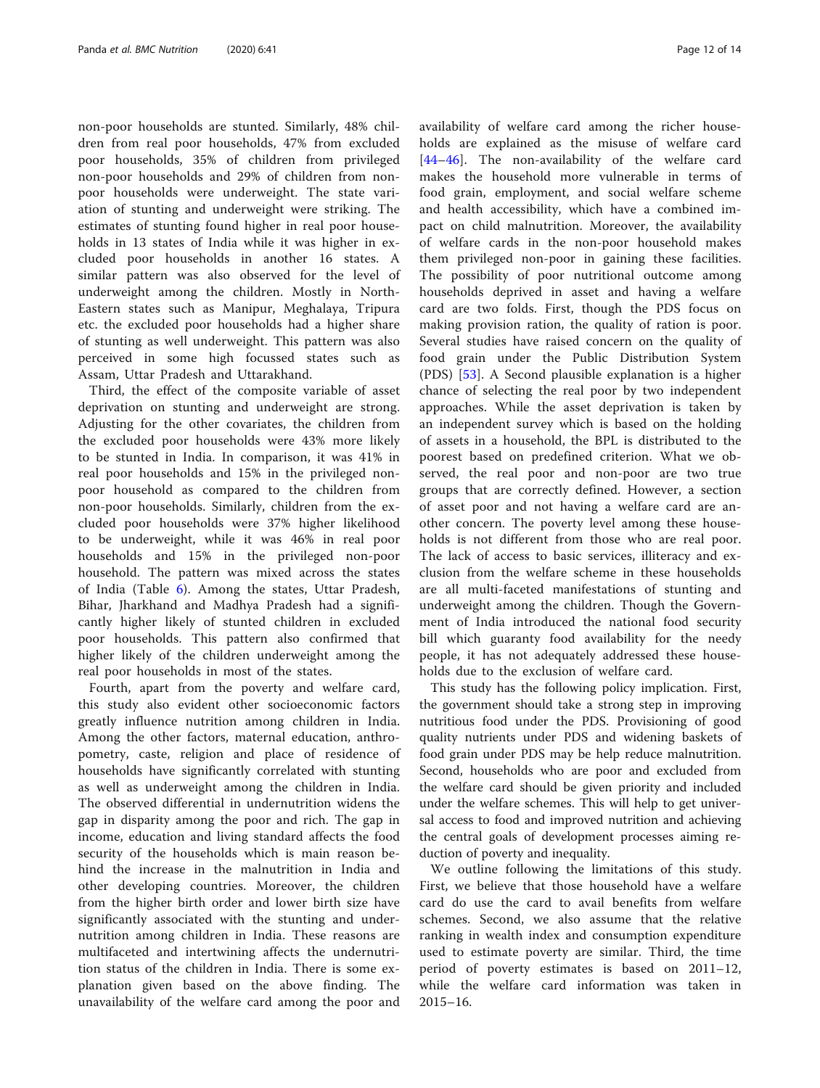non-poor households are stunted. Similarly, 48% children from real poor households, 47% from excluded poor households, 35% of children from privileged non-poor households and 29% of children from nonpoor households were underweight. The state variation of stunting and underweight were striking. The estimates of stunting found higher in real poor households in 13 states of India while it was higher in excluded poor households in another 16 states. A similar pattern was also observed for the level of underweight among the children. Mostly in North-Eastern states such as Manipur, Meghalaya, Tripura etc. the excluded poor households had a higher share of stunting as well underweight. This pattern was also perceived in some high focussed states such as Assam, Uttar Pradesh and Uttarakhand.

Third, the effect of the composite variable of asset deprivation on stunting and underweight are strong. Adjusting for the other covariates, the children from the excluded poor households were 43% more likely to be stunted in India. In comparison, it was 41% in real poor households and 15% in the privileged nonpoor household as compared to the children from non-poor households. Similarly, children from the excluded poor households were 37% higher likelihood to be underweight, while it was 46% in real poor households and 15% in the privileged non-poor household. The pattern was mixed across the states of India (Table [6](#page-10-0)). Among the states, Uttar Pradesh, Bihar, Jharkhand and Madhya Pradesh had a significantly higher likely of stunted children in excluded poor households. This pattern also confirmed that higher likely of the children underweight among the real poor households in most of the states.

Fourth, apart from the poverty and welfare card, this study also evident other socioeconomic factors greatly influence nutrition among children in India. Among the other factors, maternal education, anthropometry, caste, religion and place of residence of households have significantly correlated with stunting as well as underweight among the children in India. The observed differential in undernutrition widens the gap in disparity among the poor and rich. The gap in income, education and living standard affects the food security of the households which is main reason behind the increase in the malnutrition in India and other developing countries. Moreover, the children from the higher birth order and lower birth size have significantly associated with the stunting and undernutrition among children in India. These reasons are multifaceted and intertwining affects the undernutrition status of the children in India. There is some explanation given based on the above finding. The unavailability of the welfare card among the poor and availability of welfare card among the richer households are explained as the misuse of welfare card [[44](#page-13-0)–[46\]](#page-13-0). The non-availability of the welfare card makes the household more vulnerable in terms of food grain, employment, and social welfare scheme and health accessibility, which have a combined impact on child malnutrition. Moreover, the availability of welfare cards in the non-poor household makes them privileged non-poor in gaining these facilities. The possibility of poor nutritional outcome among households deprived in asset and having a welfare card are two folds. First, though the PDS focus on making provision ration, the quality of ration is poor. Several studies have raised concern on the quality of food grain under the Public Distribution System (PDS) [\[53](#page-13-0)]. A Second plausible explanation is a higher chance of selecting the real poor by two independent approaches. While the asset deprivation is taken by an independent survey which is based on the holding of assets in a household, the BPL is distributed to the poorest based on predefined criterion. What we observed, the real poor and non-poor are two true groups that are correctly defined. However, a section of asset poor and not having a welfare card are another concern. The poverty level among these households is not different from those who are real poor. The lack of access to basic services, illiteracy and exclusion from the welfare scheme in these households are all multi-faceted manifestations of stunting and underweight among the children. Though the Government of India introduced the national food security bill which guaranty food availability for the needy people, it has not adequately addressed these households due to the exclusion of welfare card.

This study has the following policy implication. First, the government should take a strong step in improving nutritious food under the PDS. Provisioning of good quality nutrients under PDS and widening baskets of food grain under PDS may be help reduce malnutrition. Second, households who are poor and excluded from the welfare card should be given priority and included under the welfare schemes. This will help to get universal access to food and improved nutrition and achieving the central goals of development processes aiming reduction of poverty and inequality.

We outline following the limitations of this study. First, we believe that those household have a welfare card do use the card to avail benefits from welfare schemes. Second, we also assume that the relative ranking in wealth index and consumption expenditure used to estimate poverty are similar. Third, the time period of poverty estimates is based on 2011–12, while the welfare card information was taken in 2015–16.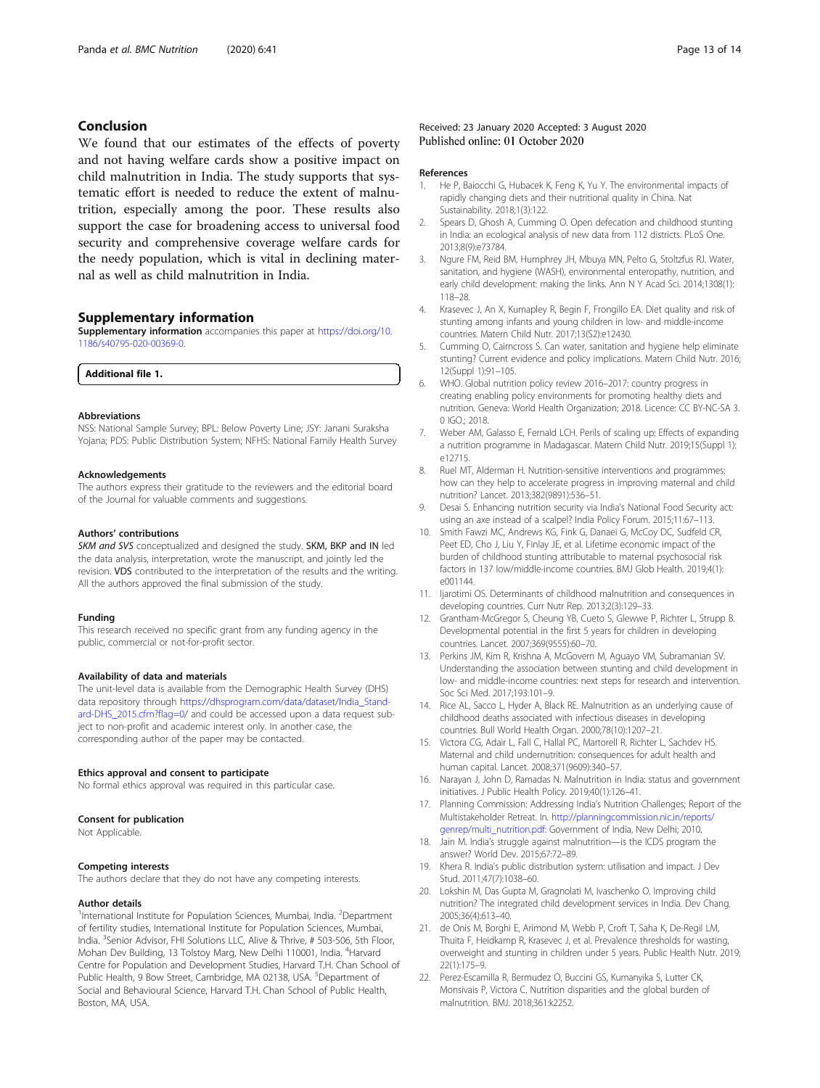#### <span id="page-12-0"></span>Conclusion

We found that our estimates of the effects of poverty and not having welfare cards show a positive impact on child malnutrition in India. The study supports that systematic effort is needed to reduce the extent of malnutrition, especially among the poor. These results also support the case for broadening access to universal food security and comprehensive coverage welfare cards for the needy population, which is vital in declining maternal as well as child malnutrition in India.

#### Supplementary information

Supplementary information accompanies this paper at [https://doi.org/10.](https://doi.org/10.1186/s40795-020-00369-0) [1186/s40795-020-00369-0](https://doi.org/10.1186/s40795-020-00369-0).

Additional file 1.

#### Abbreviations

NSS: National Sample Survey; BPL: Below Poverty Line; JSY: Janani Suraksha Yojana; PDS: Public Distribution System; NFHS: National Family Health Survey

#### Acknowledgements

The authors express their gratitude to the reviewers and the editorial board of the Journal for valuable comments and suggestions.

#### Authors' contributions

SKM and SVS conceptualized and designed the study. SKM, BKP and IN led the data analysis, interpretation, wrote the manuscript, and jointly led the revision. VDS contributed to the interpretation of the results and the writing. All the authors approved the final submission of the study.

#### Funding

This research received no specific grant from any funding agency in the public, commercial or not-for-profit sector.

#### Availability of data and materials

The unit-level data is available from the Demographic Health Survey (DHS) data repository through [https://dhsprogram.com/data/dataset/India\\_Stand](https://dhsprogram.com/data/dataset/India_Standard-DHS_2015.cfm?flag=0)[ard-DHS\\_2015.cfm?flag=0](https://dhsprogram.com/data/dataset/India_Standard-DHS_2015.cfm?flag=0)/ and could be accessed upon a data request subject to non-profit and academic interest only. In another case, the corresponding author of the paper may be contacted.

#### Ethics approval and consent to participate

No formal ethics approval was required in this particular case.

#### Consent for publication

Not Applicable.

#### Competing interests

The authors declare that they do not have any competing interests.

#### Author details

<sup>1</sup>International Institute for Population Sciences, Mumbai, India. <sup>2</sup>Department of fertility studies, International Institute for Population Sciences, Mumbai, India. <sup>3</sup>Senior Advisor, FHI Solutions LLC, Alive & Thrive, # 503-506, 5th Floor, Mohan Dev Building, 13 Tolstoy Marg, New Delhi 110001, India. <sup>4</sup>Harvard Centre for Population and Development Studies, Harvard T.H. Chan School of Public Health, 9 Bow Street, Cambridge, MA 02138, USA. <sup>5</sup>Department of Social and Behavioural Science, Harvard T.H. Chan School of Public Health, Boston, MA, USA.

#### Received: 23 January 2020 Accepted: 3 August 2020 Published online: 01 October 2020

#### References

- 1. He P, Baiocchi G, Hubacek K, Feng K, Yu Y. The environmental impacts of rapidly changing diets and their nutritional quality in China. Nat Sustainability. 2018;1(3):122.
- 2. Spears D, Ghosh A, Cumming O. Open defecation and childhood stunting in India: an ecological analysis of new data from 112 districts. PLoS One. 2013;8(9):e73784.
- 3. Ngure FM, Reid BM, Humphrey JH, Mbuya MN, Pelto G, Stoltzfus RJ. Water, sanitation, and hygiene (WASH), environmental enteropathy, nutrition, and early child development: making the links. Ann N Y Acad Sci. 2014;1308(1): 118–28.
- 4. Krasevec J, An X, Kumapley R, Begin F, Frongillo EA. Diet quality and risk of stunting among infants and young children in low- and middle-income countries. Matern Child Nutr. 2017;13(S2):e12430.
- 5. Cumming O, Cairncross S. Can water, sanitation and hygiene help eliminate stunting? Current evidence and policy implications. Matern Child Nutr. 2016; 12(Suppl 1):91–105.
- 6. WHO. Global nutrition policy review 2016–2017: country progress in creating enabling policy environments for promoting healthy diets and nutrition. Geneva: World Health Organization; 2018. Licence: CC BY-NC-SA 3. 0 IGO.; 2018.
- 7. Weber AM, Galasso E, Fernald LCH. Perils of scaling up: Effects of expanding a nutrition programme in Madagascar. Matern Child Nutr. 2019;15(Suppl 1): e12715.
- 8. Ruel MT, Alderman H. Nutrition-sensitive interventions and programmes: how can they help to accelerate progress in improving maternal and child nutrition? Lancet. 2013;382(9891):536–51.
- 9. Desai S. Enhancing nutrition security via India's National Food Security act: using an axe instead of a scalpel? India Policy Forum. 2015;11:67–113.
- 10. Smith Fawzi MC, Andrews KG, Fink G, Danaei G, McCoy DC, Sudfeld CR, Peet ED, Cho J, Liu Y, Finlay JE, et al. Lifetime economic impact of the burden of childhood stunting attributable to maternal psychosocial risk factors in 137 low/middle-income countries. BMJ Glob Health. 2019;4(1): e001144.
- 11. Ijarotimi OS. Determinants of childhood malnutrition and consequences in developing countries. Curr Nutr Rep. 2013;2(3):129–33.
- 12. Grantham-McGregor S, Cheung YB, Cueto S, Glewwe P, Richter L, Strupp B. Developmental potential in the first 5 years for children in developing countries. Lancet. 2007;369(9555):60–70.
- 13. Perkins JM, Kim R, Krishna A, McGovern M, Aguayo VM, Subramanian SV. Understanding the association between stunting and child development in low- and middle-income countries: next steps for research and intervention. Soc Sci Med. 2017;193:101–9.
- 14. Rice AL, Sacco L, Hyder A, Black RE. Malnutrition as an underlying cause of childhood deaths associated with infectious diseases in developing countries. Bull World Health Organ. 2000;78(10):1207–21.
- 15. Victora CG, Adair L, Fall C, Hallal PC, Martorell R, Richter L, Sachdev HS. Maternal and child undernutrition: consequences for adult health and human capital. Lancet. 2008;371(9609):340–57.
- 16. Narayan J, John D, Ramadas N. Malnutrition in India: status and government initiatives. J Public Health Policy. 2019;40(1):126–41.
- 17. Planning Commission: Addressing India's Nutrition Challenges; Report of the Multistakeholder Retreat. In. [http://planningcommission.nic.in/reports/](http://planningcommission.nic.in/reports/genrep/multi_nutrition.pdf:) [genrep/multi\\_nutrition.pdf:](http://planningcommission.nic.in/reports/genrep/multi_nutrition.pdf:) Government of India, New Delhi; 2010.
- 18. Jain M. India's struggle against malnutrition—is the ICDS program the answer? World Dev. 2015;67:72–89.
- 19. Khera R. India's public distribution system: utilisation and impact. J Dev Stud. 2011;47(7):1038–60.
- 20. Lokshin M, Das Gupta M, Gragnolati M, Ivaschenko O. Improving child nutrition? The integrated child development services in India. Dev Chang. 2005;36(4):613–40.
- 21. de Onis M, Borghi E, Arimond M, Webb P, Croft T, Saha K, De-Regil LM, Thuita F, Heidkamp R, Krasevec J, et al. Prevalence thresholds for wasting, overweight and stunting in children under 5 years. Public Health Nutr. 2019; 22(1):175–9.
- 22. Perez-Escamilla R, Bermudez O, Buccini GS, Kumanyika S, Lutter CK, Monsivais P, Victora C. Nutrition disparities and the global burden of malnutrition. BMJ. 2018;361:k2252.